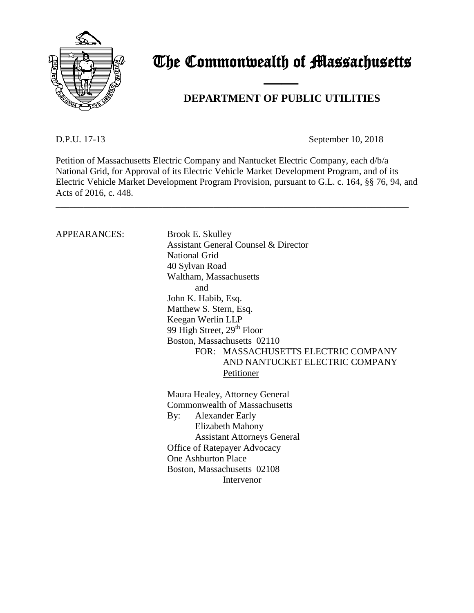

# The Commonwealth of Massachusetts

## **DEPARTMENT OF PUBLIC UTILITIES**

D.P.U. 17-13 September 10, 2018

Petition of Massachusetts Electric Company and Nantucket Electric Company, each d/b/a National Grid, for Approval of its Electric Vehicle Market Development Program, and of its Electric Vehicle Market Development Program Provision, pursuant to G.L. c. 164, §§ 76, 94, and Acts of 2016, c. 448.

\_\_\_\_\_\_\_\_\_\_\_\_\_\_\_\_\_\_\_\_\_\_\_\_\_\_\_\_\_\_\_\_\_\_\_\_\_\_\_\_\_\_\_\_\_\_\_\_\_\_\_\_\_\_\_\_\_\_\_\_\_\_\_\_\_\_\_\_\_\_\_\_\_\_\_\_

and the contract of the contract of

## APPEARANCES: Brook E. Skulley

Assistant General Counsel & Director National Grid 40 Sylvan Road Waltham, Massachusetts and John K. Habib, Esq. Matthew S. Stern, Esq. Keegan Werlin LLP 99 High Street, 29<sup>th</sup> Floor Boston, Massachusetts 02110 FOR: MASSACHUSETTS ELECTRIC COMPANY AND NANTUCKET ELECTRIC COMPANY Petitioner Maura Healey, Attorney General Commonwealth of Massachusetts By: Alexander Early Elizabeth Mahony Assistant Attorneys General Office of Ratepayer Advocacy One Ashburton Place Boston, Massachusetts 02108

Intervenor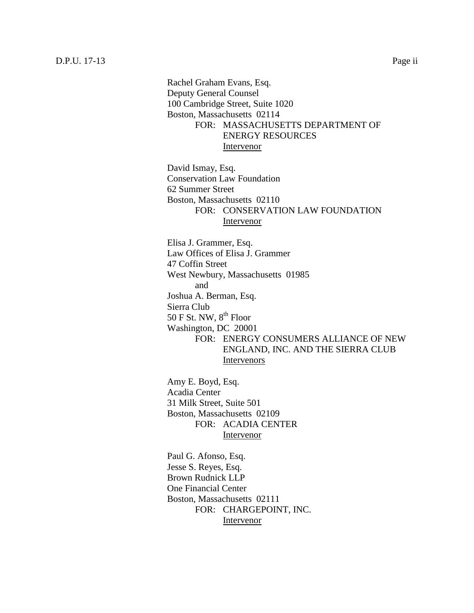Rachel Graham Evans, Esq. Deputy General Counsel 100 Cambridge Street, Suite 1020 Boston, Massachusetts 02114 FOR: MASSACHUSETTS DEPARTMENT OF ENERGY RESOURCES Intervenor

David Ismay, Esq. Conservation Law Foundation 62 Summer Street Boston, Massachusetts 02110 FOR: CONSERVATION LAW FOUNDATION Intervenor

Elisa J. Grammer, Esq. Law Offices of Elisa J. Grammer 47 Coffin Street West Newbury, Massachusetts 01985 and Joshua A. Berman, Esq. Sierra Club 50 F St. NW,  $8^{th}$  Floor Washington, DC 20001 FOR: ENERGY CONSUMERS ALLIANCE OF NEW ENGLAND, INC. AND THE SIERRA CLUB Intervenors

Amy E. Boyd, Esq. Acadia Center 31 Milk Street, Suite 501 Boston, Massachusetts 02109 FOR: ACADIA CENTER Intervenor

Paul G. Afonso, Esq. Jesse S. Reyes, Esq. Brown Rudnick LLP One Financial Center Boston, Massachusetts 02111 FOR: CHARGEPOINT, INC. Intervenor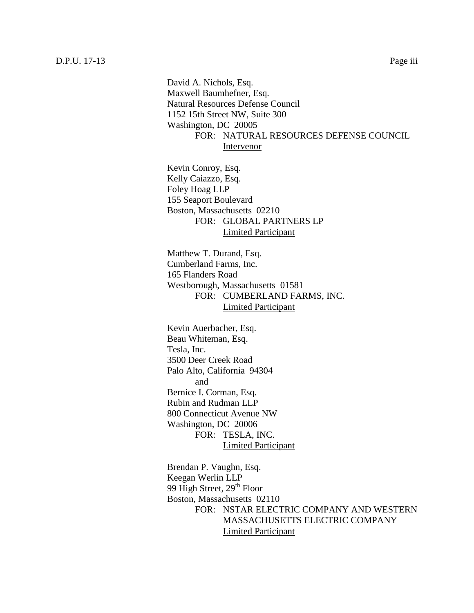David A. Nichols, Esq. Maxwell Baumhefner, Esq. Natural Resources Defense Council 1152 15th Street NW, Suite 300 Washington, DC 20005 FOR: NATURAL RESOURCES DEFENSE COUNCIL Intervenor

Kevin Conroy, Esq. Kelly Caiazzo, Esq. Foley Hoag LLP 155 Seaport Boulevard Boston, Massachusetts 02210 FOR: GLOBAL PARTNERS LP Limited Participant

Matthew T. Durand, Esq. Cumberland Farms, Inc. 165 Flanders Road Westborough, Massachusetts 01581 FOR: CUMBERLAND FARMS, INC. Limited Participant

Kevin Auerbacher, Esq. Beau Whiteman, Esq. Tesla, Inc. 3500 Deer Creek Road Palo Alto, California 94304 and Bernice I. Corman, Esq. Rubin and Rudman LLP 800 Connecticut Avenue NW Washington, DC 20006 FOR: TESLA, INC. Limited Participant

Brendan P. Vaughn, Esq. Keegan Werlin LLP 99 High Street, 29<sup>th</sup> Floor Boston, Massachusetts 02110 FOR: NSTAR ELECTRIC COMPANY AND WESTERN MASSACHUSETTS ELECTRIC COMPANY Limited Participant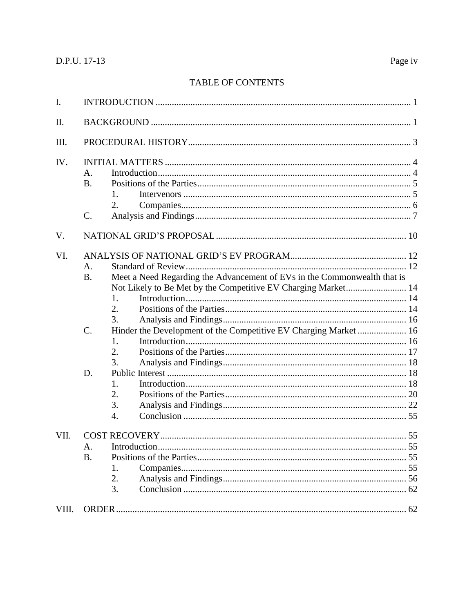## TABLE OF CONTENTS

| I.    |                                                                                                                                                                                                                                                                                                             |
|-------|-------------------------------------------------------------------------------------------------------------------------------------------------------------------------------------------------------------------------------------------------------------------------------------------------------------|
| Π.    |                                                                                                                                                                                                                                                                                                             |
| Ш.    |                                                                                                                                                                                                                                                                                                             |
| IV.   | A.<br>B.<br>1.<br>2.<br>$C$ .                                                                                                                                                                                                                                                                               |
| V.    |                                                                                                                                                                                                                                                                                                             |
| VI.   | A.<br>Meet a Need Regarding the Advancement of EVs in the Commonwealth that is<br><b>B.</b><br>Not Likely to Be Met by the Competitive EV Charging Market 14<br>1.<br>2.<br>3.<br>$C$ .<br>Hinder the Development of the Competitive EV Charging Market  16<br>1.<br>2.<br>3.<br>D.<br>1.<br>2.<br>3.<br>4. |
| VII.  | A.<br><b>B.</b><br>1.<br>2.<br>3.                                                                                                                                                                                                                                                                           |
| VIII. |                                                                                                                                                                                                                                                                                                             |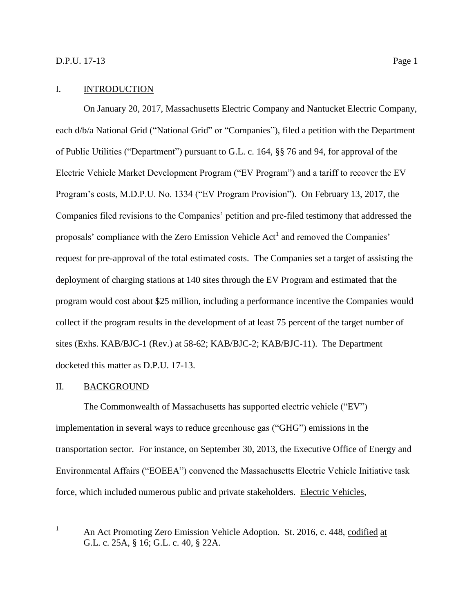### <span id="page-4-0"></span>I. INTRODUCTION

On January 20, 2017, Massachusetts Electric Company and Nantucket Electric Company, each d/b/a National Grid ("National Grid" or "Companies"), filed a petition with the Department of Public Utilities ("Department") pursuant to G.L. c. 164, §§ 76 and 94, for approval of the Electric Vehicle Market Development Program ("EV Program") and a tariff to recover the EV Program's costs, M.D.P.U. No. 1334 ("EV Program Provision"). On February 13, 2017, the Companies filed revisions to the Companies' petition and pre-filed testimony that addressed the proposals' compliance with the Zero Emission Vehicle  $Act<sup>1</sup>$  and removed the Companies' request for pre-approval of the total estimated costs. The Companies set a target of assisting the deployment of charging stations at 140 sites through the EV Program and estimated that the program would cost about \$25 million, including a performance incentive the Companies would collect if the program results in the development of at least 75 percent of the target number of sites (Exhs. KAB/BJC-1 (Rev.) at 58-62; KAB/BJC-2; KAB/BJC-11). The Department docketed this matter as D.P.U. 17-13.

#### <span id="page-4-1"></span>II. BACKGROUND

The Commonwealth of Massachusetts has supported electric vehicle ("EV") implementation in several ways to reduce greenhouse gas ("GHG") emissions in the transportation sector. For instance, on September 30, 2013, the Executive Office of Energy and Environmental Affairs ("EOEEA") convened the Massachusetts Electric Vehicle Initiative task force, which included numerous public and private stakeholders. Electric Vehicles,

 $\mathbf{1}$ An Act Promoting Zero Emission Vehicle Adoption. St. 2016, c. 448, codified at G.L. c. 25A, § 16; G.L. c. 40, § 22A.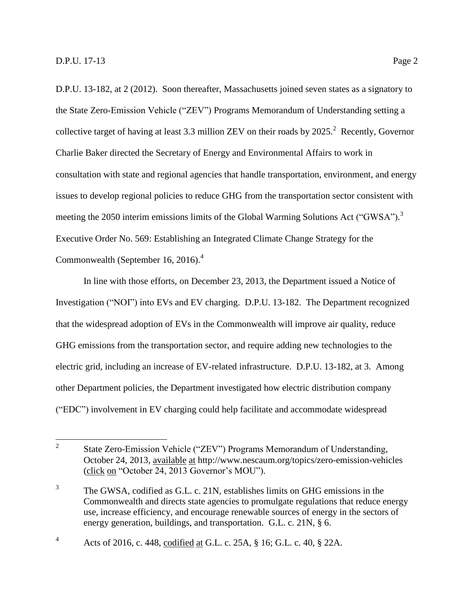D.P.U. 13-182, at 2 (2012). Soon thereafter, Massachusetts joined seven states as a signatory to the State Zero-Emission Vehicle ("ZEV") Programs Memorandum of Understanding setting a collective target of having at least 3.3 million ZEV on their roads by  $2025$ .<sup>2</sup> Recently, Governor Charlie Baker directed the Secretary of Energy and Environmental Affairs to work in consultation with state and regional agencies that handle transportation, environment, and energy issues to develop regional policies to reduce GHG from the transportation sector consistent with meeting the 2050 interim emissions limits of the Global Warming Solutions Act ("GWSA").<sup>3</sup> Executive Order No. 569: Establishing an Integrated Climate Change Strategy for the Commonwealth (September 16, 2016). $<sup>4</sup>$ </sup>

In line with those efforts, on December 23, 2013, the Department issued a Notice of Investigation ("NOI") into EVs and EV charging. D.P.U. 13-182. The Department recognized that the widespread adoption of EVs in the Commonwealth will improve air quality, reduce GHG emissions from the transportation sector, and require adding new technologies to the electric grid, including an increase of EV-related infrastructure. D.P.U. 13-182, at 3. Among other Department policies, the Department investigated how electric distribution company ("EDC") involvement in EV charging could help facilitate and accommodate widespread

 $\frac{1}{2}$ State Zero-Emission Vehicle ("ZEV") Programs Memorandum of Understanding, October 24, 2013, available at http://www.nescaum.org/topics/zero-emission-vehicles (click on "October 24, 2013 Governor's MOU").

<sup>3</sup> The GWSA, codified as G.L. c. 21N, establishes limits on GHG emissions in the Commonwealth and directs state agencies to promulgate regulations that reduce energy use, increase efficiency, and encourage renewable sources of energy in the sectors of energy generation, buildings, and transportation. G.L. c. 21N, § 6.

<sup>4</sup> Acts of 2016, c. 448, codified at G.L. c. 25A, § 16; G.L. c. 40, § 22A.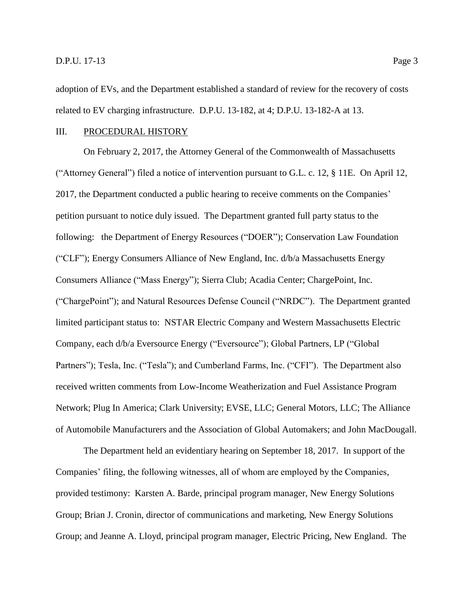adoption of EVs, and the Department established a standard of review for the recovery of costs related to EV charging infrastructure. D.P.U. 13-182, at 4; D.P.U. 13-182-A at 13.

## <span id="page-6-0"></span>III. PROCEDURAL HISTORY

On February 2, 2017, the Attorney General of the Commonwealth of Massachusetts ("Attorney General") filed a notice of intervention pursuant to G.L. c. 12, § 11E. On April 12, 2017, the Department conducted a public hearing to receive comments on the Companies' petition pursuant to notice duly issued. The Department granted full party status to the following: the Department of Energy Resources ("DOER"); Conservation Law Foundation ("CLF"); Energy Consumers Alliance of New England, Inc. d/b/a Massachusetts Energy Consumers Alliance ("Mass Energy"); Sierra Club; Acadia Center; ChargePoint, Inc. ("ChargePoint"); and Natural Resources Defense Council ("NRDC"). The Department granted limited participant status to: NSTAR Electric Company and Western Massachusetts Electric Company, each d/b/a Eversource Energy ("Eversource"); Global Partners, LP ("Global Partners"); Tesla, Inc. ("Tesla"); and Cumberland Farms, Inc. ("CFI"). The Department also received written comments from Low-Income Weatherization and Fuel Assistance Program Network; Plug In America; Clark University; EVSE, LLC; General Motors, LLC; The Alliance of Automobile Manufacturers and the Association of Global Automakers; and John MacDougall.

The Department held an evidentiary hearing on September 18, 2017. In support of the Companies' filing, the following witnesses, all of whom are employed by the Companies, provided testimony: Karsten A. Barde, principal program manager, New Energy Solutions Group; Brian J. Cronin, director of communications and marketing, New Energy Solutions Group; and Jeanne A. Lloyd, principal program manager, Electric Pricing, New England. The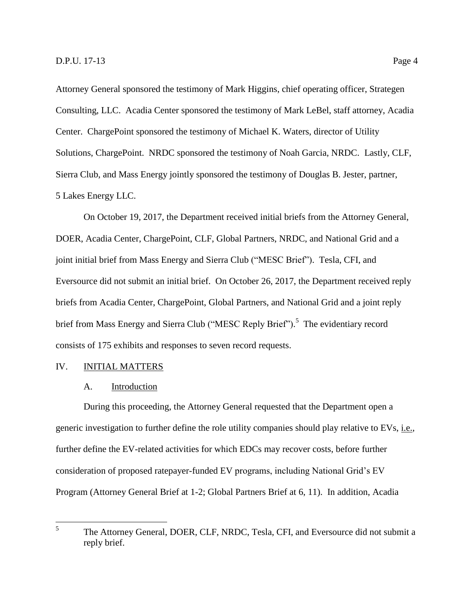Attorney General sponsored the testimony of Mark Higgins, chief operating officer, Strategen Consulting, LLC. Acadia Center sponsored the testimony of Mark LeBel, staff attorney, Acadia Center. ChargePoint sponsored the testimony of Michael K. Waters, director of Utility Solutions, ChargePoint. NRDC sponsored the testimony of Noah Garcia, NRDC. Lastly, CLF, Sierra Club, and Mass Energy jointly sponsored the testimony of Douglas B. Jester, partner, 5 Lakes Energy LLC.

On October 19, 2017, the Department received initial briefs from the Attorney General, DOER, Acadia Center, ChargePoint, CLF, Global Partners, NRDC, and National Grid and a joint initial brief from Mass Energy and Sierra Club ("MESC Brief"). Tesla, CFI, and Eversource did not submit an initial brief. On October 26, 2017, the Department received reply briefs from Acadia Center, ChargePoint, Global Partners, and National Grid and a joint reply brief from Mass Energy and Sierra Club ("MESC Reply Brief").<sup>5</sup> The evidentiary record consists of 175 exhibits and responses to seven record requests.

## <span id="page-7-1"></span><span id="page-7-0"></span>IV. INITIAL MATTERS

#### A. Introduction

During this proceeding, the Attorney General requested that the Department open a generic investigation to further define the role utility companies should play relative to EVs, i.e., further define the EV-related activities for which EDCs may recover costs, before further consideration of proposed ratepayer-funded EV programs, including National Grid's EV Program (Attorney General Brief at 1-2; Global Partners Brief at 6, 11). In addition, Acadia

 5 The Attorney General, DOER, CLF, NRDC, Tesla, CFI, and Eversource did not submit a reply brief.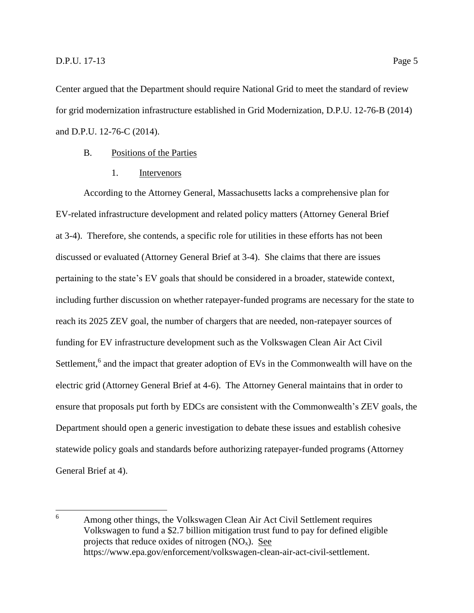Center argued that the Department should require National Grid to meet the standard of review for grid modernization infrastructure established in Grid Modernization, D.P.U. 12-76-B (2014) and D.P.U. 12-76-C (2014).

## <span id="page-8-0"></span>B. Positions of the Parties

1. Intervenors

<span id="page-8-1"></span>According to the Attorney General, Massachusetts lacks a comprehensive plan for EV-related infrastructure development and related policy matters (Attorney General Brief at 3-4). Therefore, she contends, a specific role for utilities in these efforts has not been discussed or evaluated (Attorney General Brief at 3-4). She claims that there are issues pertaining to the state's EV goals that should be considered in a broader, statewide context, including further discussion on whether ratepayer-funded programs are necessary for the state to reach its 2025 ZEV goal, the number of chargers that are needed, non-ratepayer sources of funding for EV infrastructure development such as the Volkswagen Clean Air Act Civil Settlement,<sup>6</sup> and the impact that greater adoption of EVs in the Commonwealth will have on the electric grid (Attorney General Brief at 4-6). The Attorney General maintains that in order to ensure that proposals put forth by EDCs are consistent with the Commonwealth's ZEV goals, the Department should open a generic investigation to debate these issues and establish cohesive statewide policy goals and standards before authorizing ratepayer-funded programs (Attorney General Brief at 4).

<sup>6</sup> <sup>6</sup> Among other things, the Volkswagen Clean Air Act Civil Settlement requires Volkswagen to fund a \$2.7 billion mitigation trust fund to pay for defined eligible projects that reduce oxides of nitrogen  $(NO_x)$ . See https://www.epa.gov/enforcement/volkswagen-clean-air-act-civil-settlement.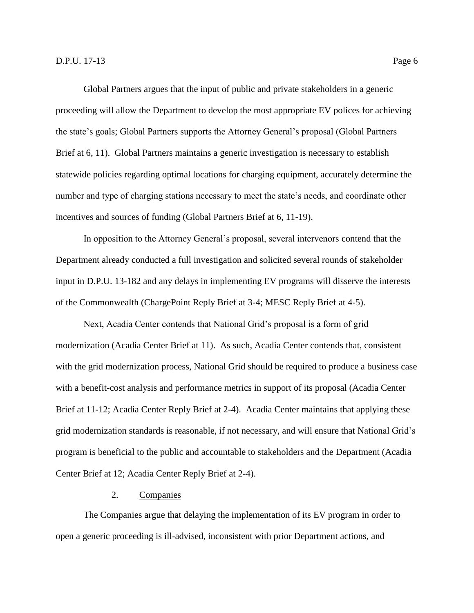Global Partners argues that the input of public and private stakeholders in a generic proceeding will allow the Department to develop the most appropriate EV polices for achieving the state's goals; Global Partners supports the Attorney General's proposal (Global Partners Brief at 6, 11). Global Partners maintains a generic investigation is necessary to establish statewide policies regarding optimal locations for charging equipment, accurately determine the number and type of charging stations necessary to meet the state's needs, and coordinate other incentives and sources of funding (Global Partners Brief at 6, 11-19).

In opposition to the Attorney General's proposal, several intervenors contend that the Department already conducted a full investigation and solicited several rounds of stakeholder input in D.P.U. 13-182 and any delays in implementing EV programs will disserve the interests of the Commonwealth (ChargePoint Reply Brief at 3-4; MESC Reply Brief at 4-5).

Next, Acadia Center contends that National Grid's proposal is a form of grid modernization (Acadia Center Brief at 11). As such, Acadia Center contends that, consistent with the grid modernization process, National Grid should be required to produce a business case with a benefit-cost analysis and performance metrics in support of its proposal (Acadia Center Brief at 11-12; Acadia Center Reply Brief at 2-4). Acadia Center maintains that applying these grid modernization standards is reasonable, if not necessary, and will ensure that National Grid's program is beneficial to the public and accountable to stakeholders and the Department (Acadia Center Brief at 12; Acadia Center Reply Brief at 2-4).

## 2. Companies

<span id="page-9-0"></span>The Companies argue that delaying the implementation of its EV program in order to open a generic proceeding is ill-advised, inconsistent with prior Department actions, and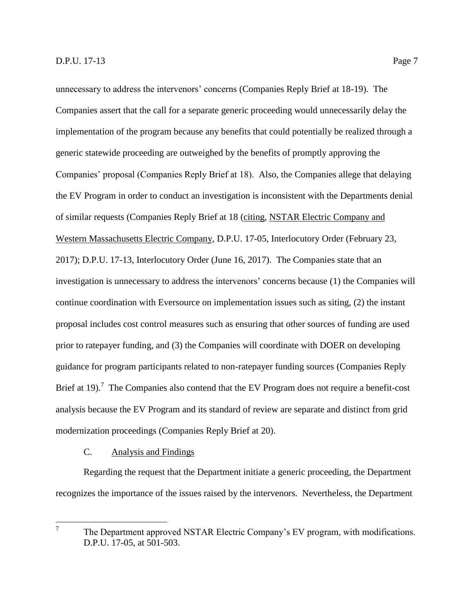unnecessary to address the intervenors' concerns (Companies Reply Brief at 18-19). The Companies assert that the call for a separate generic proceeding would unnecessarily delay the implementation of the program because any benefits that could potentially be realized through a generic statewide proceeding are outweighed by the benefits of promptly approving the Companies' proposal (Companies Reply Brief at 18). Also, the Companies allege that delaying the EV Program in order to conduct an investigation is inconsistent with the Departments denial of similar requests (Companies Reply Brief at 18 (citing, NSTAR Electric Company and Western Massachusetts Electric Company, D.P.U. 17-05, Interlocutory Order (February 23, 2017); D.P.U. 17-13, Interlocutory Order (June 16, 2017). The Companies state that an investigation is unnecessary to address the intervenors' concerns because (1) the Companies will continue coordination with Eversource on implementation issues such as siting, (2) the instant proposal includes cost control measures such as ensuring that other sources of funding are used prior to ratepayer funding, and (3) the Companies will coordinate with DOER on developing guidance for program participants related to non-ratepayer funding sources (Companies Reply Brief at 19).<sup>7</sup> The Companies also contend that the EV Program does not require a benefit-cost analysis because the EV Program and its standard of review are separate and distinct from grid modernization proceedings (Companies Reply Brief at 20).

## C. Analysis and Findings

<span id="page-10-0"></span>Regarding the request that the Department initiate a generic proceeding, the Department recognizes the importance of the issues raised by the intervenors. Nevertheless, the Department

<sup>—&</sup>lt;br>7 The Department approved NSTAR Electric Company's EV program, with modifications. D.P.U. 17-05, at 501-503.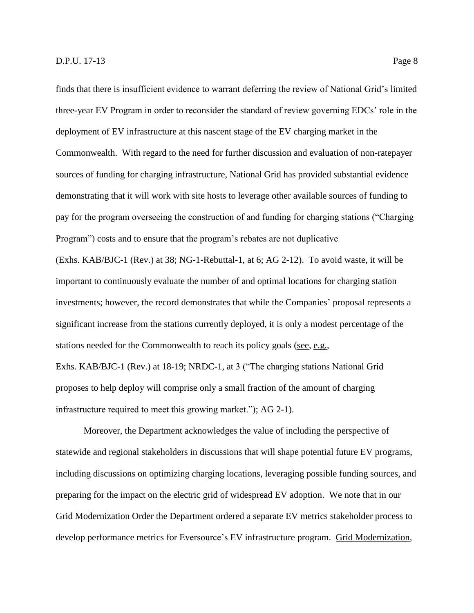finds that there is insufficient evidence to warrant deferring the review of National Grid's limited three-year EV Program in order to reconsider the standard of review governing EDCs' role in the deployment of EV infrastructure at this nascent stage of the EV charging market in the Commonwealth. With regard to the need for further discussion and evaluation of non-ratepayer sources of funding for charging infrastructure, National Grid has provided substantial evidence demonstrating that it will work with site hosts to leverage other available sources of funding to pay for the program overseeing the construction of and funding for charging stations ("Charging Program") costs and to ensure that the program's rebates are not duplicative (Exhs. KAB/BJC-1 (Rev.) at 38; NG-1-Rebuttal-1, at 6; AG 2-12). To avoid waste, it will be important to continuously evaluate the number of and optimal locations for charging station investments; however, the record demonstrates that while the Companies' proposal represents a significant increase from the stations currently deployed, it is only a modest percentage of the stations needed for the Commonwealth to reach its policy goals (see, e.g., Exhs. KAB/BJC-1 (Rev.) at 18-19; NRDC-1, at 3 ("The charging stations National Grid proposes to help deploy will comprise only a small fraction of the amount of charging infrastructure required to meet this growing market."); AG 2-1).

Moreover, the Department acknowledges the value of including the perspective of statewide and regional stakeholders in discussions that will shape potential future EV programs, including discussions on optimizing charging locations, leveraging possible funding sources, and preparing for the impact on the electric grid of widespread EV adoption. We note that in our Grid Modernization Order the Department ordered a separate EV metrics stakeholder process to develop performance metrics for Eversource's EV infrastructure program. Grid Modernization,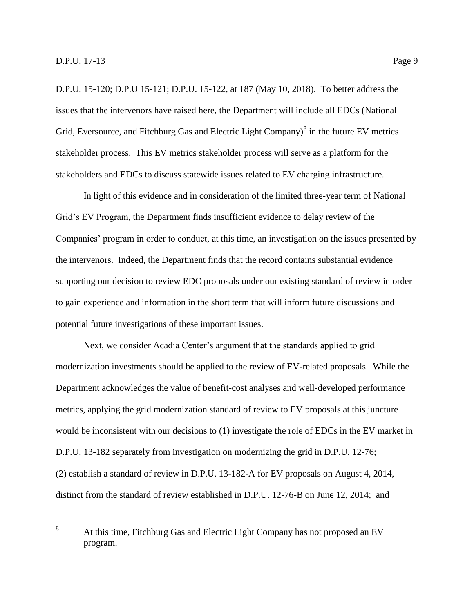D.P.U. 15-120; D.P.U 15-121; D.P.U. 15-122, at 187 (May 10, 2018). To better address the issues that the intervenors have raised here, the Department will include all EDCs (National Grid, Eversource, and Fitchburg Gas and Electric Light Company) $\delta$  in the future EV metrics stakeholder process. This EV metrics stakeholder process will serve as a platform for the stakeholders and EDCs to discuss statewide issues related to EV charging infrastructure.

In light of this evidence and in consideration of the limited three-year term of National Grid's EV Program, the Department finds insufficient evidence to delay review of the Companies' program in order to conduct, at this time, an investigation on the issues presented by the intervenors. Indeed, the Department finds that the record contains substantial evidence supporting our decision to review EDC proposals under our existing standard of review in order to gain experience and information in the short term that will inform future discussions and potential future investigations of these important issues.

Next, we consider Acadia Center's argument that the standards applied to grid modernization investments should be applied to the review of EV-related proposals. While the Department acknowledges the value of benefit-cost analyses and well-developed performance metrics, applying the grid modernization standard of review to EV proposals at this juncture would be inconsistent with our decisions to (1) investigate the role of EDCs in the EV market in D.P.U. 13-182 separately from investigation on modernizing the grid in D.P.U. 12-76; (2) establish a standard of review in D.P.U. 13-182-A for EV proposals on August 4, 2014, distinct from the standard of review established in D.P.U. 12-76-B on June 12, 2014; and

<sup>8</sup> At this time, Fitchburg Gas and Electric Light Company has not proposed an EV program.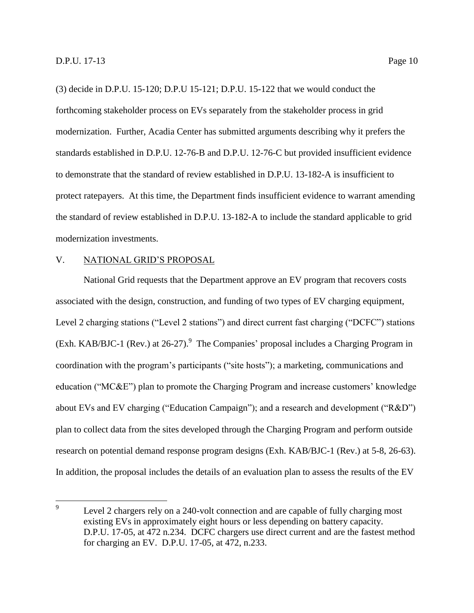(3) decide in D.P.U. 15-120; D.P.U 15-121; D.P.U. 15-122 that we would conduct the forthcoming stakeholder process on EVs separately from the stakeholder process in grid modernization. Further, Acadia Center has submitted arguments describing why it prefers the standards established in D.P.U. 12-76-B and D.P.U. 12-76-C but provided insufficient evidence to demonstrate that the standard of review established in D.P.U. 13-182-A is insufficient to protect ratepayers. At this time, the Department finds insufficient evidence to warrant amending the standard of review established in D.P.U. 13-182-A to include the standard applicable to grid modernization investments.

## <span id="page-13-0"></span>V. NATIONAL GRID'S PROPOSAL

National Grid requests that the Department approve an EV program that recovers costs associated with the design, construction, and funding of two types of EV charging equipment, Level 2 charging stations ("Level 2 stations") and direct current fast charging ("DCFC") stations (Exh. KAB/BJC-1 (Rev.) at  $26-27$ ). <sup>9</sup> The Companies' proposal includes a Charging Program in coordination with the program's participants ("site hosts"); a marketing, communications and education (" $MC&E$ ") plan to promote the Charging Program and increase customers' knowledge about EVs and EV charging ("Education Campaign"); and a research and development ("R&D") plan to collect data from the sites developed through the Charging Program and perform outside research on potential demand response program designs (Exh. KAB/BJC-1 (Rev.) at 5-8, 26-63). In addition, the proposal includes the details of an evaluation plan to assess the results of the EV

<sup>—&</sup>lt;br>9 Level 2 chargers rely on a 240-volt connection and are capable of fully charging most existing EVs in approximately eight hours or less depending on battery capacity. D.P.U. 17-05, at 472 n.234. DCFC chargers use direct current and are the fastest method for charging an EV. D.P.U. 17-05, at 472, n.233.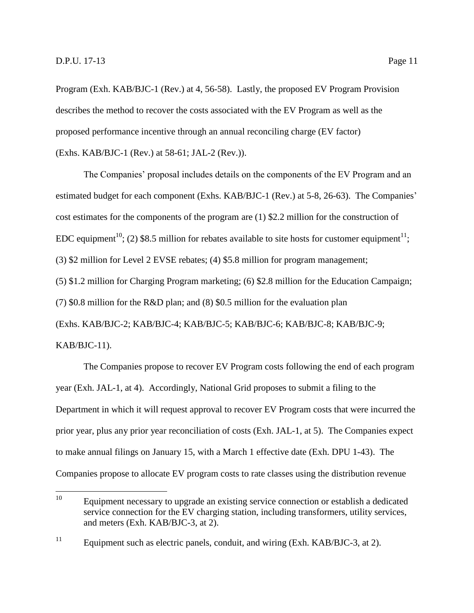Program (Exh. KAB/BJC-1 (Rev.) at 4, 56-58). Lastly, the proposed EV Program Provision describes the method to recover the costs associated with the EV Program as well as the proposed performance incentive through an annual reconciling charge (EV factor) (Exhs. KAB/BJC-1 (Rev.) at 58-61; JAL-2 (Rev.)).

The Companies' proposal includes details on the components of the EV Program and an estimated budget for each component (Exhs. KAB/BJC-1 (Rev.) at 5-8, 26-63). The Companies' cost estimates for the components of the program are (1) \$2.2 million for the construction of EDC equipment<sup>10</sup>; (2) \$8.5 million for rebates available to site hosts for customer equipment<sup>11</sup>; (3) \$2 million for Level 2 EVSE rebates; (4) \$5.8 million for program management; (5) \$1.2 million for Charging Program marketing; (6) \$2.8 million for the Education Campaign; (7) \$0.8 million for the R&D plan; and (8) \$0.5 million for the evaluation plan (Exhs. KAB/BJC-2; KAB/BJC-4; KAB/BJC-5; KAB/BJC-6; KAB/BJC-8; KAB/BJC-9; KAB/BJC-11).

The Companies propose to recover EV Program costs following the end of each program year (Exh. JAL-1, at 4). Accordingly, National Grid proposes to submit a filing to the Department in which it will request approval to recover EV Program costs that were incurred the prior year, plus any prior year reconciliation of costs (Exh. JAL-1, at 5). The Companies expect to make annual filings on January 15, with a March 1 effective date (Exh. DPU 1-43). The Companies propose to allocate EV program costs to rate classes using the distribution revenue

 $10\,$ Equipment necessary to upgrade an existing service connection or establish a dedicated service connection for the EV charging station, including transformers, utility services, and meters (Exh. KAB/BJC-3, at 2).

<sup>&</sup>lt;sup>11</sup> Equipment such as electric panels, conduit, and wiring (Exh. KAB/BJC-3, at 2).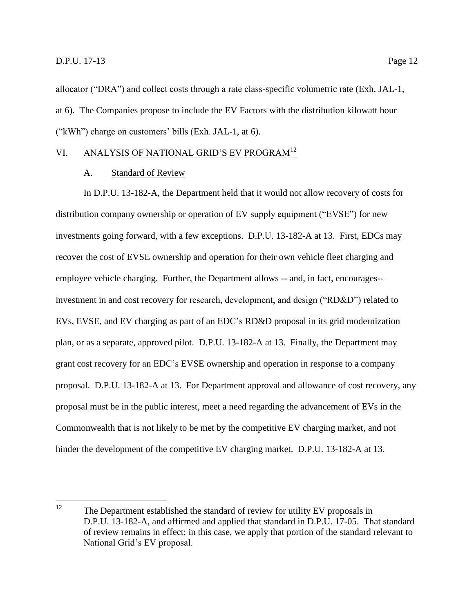allocator ("DRA") and collect costs through a rate class-specific volumetric rate (Exh. JAL-1, at 6). The Companies propose to include the EV Factors with the distribution kilowatt hour ("kWh") charge on customers' bills (Exh. JAL-1, at 6).

## <span id="page-15-1"></span><span id="page-15-0"></span>VI. ANALYSIS OF NATIONAL GRID'S EV PROGRAM<sup>12</sup>

## A. Standard of Review

In D.P.U. 13-182-A, the Department held that it would not allow recovery of costs for distribution company ownership or operation of EV supply equipment ("EVSE") for new investments going forward, with a few exceptions. D.P.U. 13-182-A at 13. First, EDCs may recover the cost of EVSE ownership and operation for their own vehicle fleet charging and employee vehicle charging. Further, the Department allows -- and, in fact, encourages- investment in and cost recovery for research, development, and design ("RD&D") related to EVs, EVSE, and EV charging as part of an EDC's RD&D proposal in its grid modernization plan, or as a separate, approved pilot. D.P.U. 13-182-A at 13. Finally, the Department may grant cost recovery for an EDC's EVSE ownership and operation in response to a company proposal. D.P.U. 13-182-A at 13. For Department approval and allowance of cost recovery, any proposal must be in the public interest, meet a need regarding the advancement of EVs in the Commonwealth that is not likely to be met by the competitive EV charging market, and not hinder the development of the competitive EV charging market. D.P.U. 13-182-A at 13.

<sup>12</sup> The Department established the standard of review for utility EV proposals in D.P.U. 13-182-A, and affirmed and applied that standard in D.P.U. 17-05. That standard of review remains in effect; in this case, we apply that portion of the standard relevant to National Grid's EV proposal.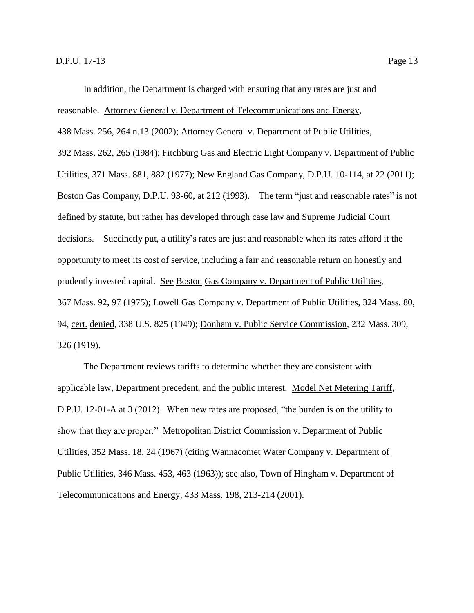reasonable. Attorney General v. Department of Telecommunications and Energy,

438 Mass. 256, 264 n.13 (2002); Attorney General v. Department of Public Utilities,

392 Mass. 262, 265 (1984); Fitchburg Gas and Electric Light Company v. Department of Public Utilities, 371 Mass. 881, 882 (1977); New England Gas Company, D.P.U. 10-114, at 22 (2011); Boston Gas Company, D.P.U. 93-60, at 212 (1993). The term "just and reasonable rates" is not defined by statute, but rather has developed through case law and Supreme Judicial Court decisions. Succinctly put, a utility's rates are just and reasonable when its rates afford it the opportunity to meet its cost of service, including a fair and reasonable return on honestly and prudently invested capital. See Boston Gas Company v. Department of Public Utilities, 367 Mass. 92, 97 (1975); Lowell Gas Company v. Department of Public Utilities, 324 Mass. 80, 94, cert. denied, 338 U.S. 825 (1949); Donham v. Public Service Commission, 232 Mass. 309, 326 (1919).

The Department reviews tariffs to determine whether they are consistent with applicable law, Department precedent, and the public interest. Model Net Metering Tariff, D.P.U. 12-01-A at 3 (2012). When new rates are proposed, "the burden is on the utility to show that they are proper." Metropolitan District Commission v. Department of Public Utilities, 352 Mass. 18, 24 (1967) (citing Wannacomet Water Company v. Department of Public Utilities, 346 Mass. 453, 463 (1963)); see also, Town of Hingham v. Department of Telecommunications and Energy, 433 Mass. 198, 213-214 (2001).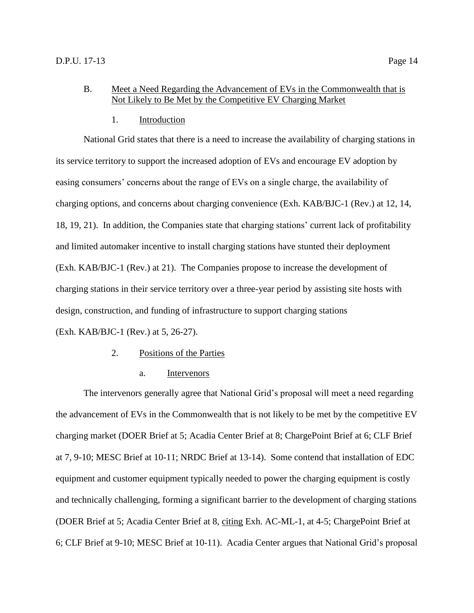## <span id="page-17-0"></span>B. Meet a Need Regarding the Advancement of EVs in the Commonwealth that is Not Likely to Be Met by the Competitive EV Charging Market

## 1. Introduction

<span id="page-17-1"></span>National Grid states that there is a need to increase the availability of charging stations in its service territory to support the increased adoption of EVs and encourage EV adoption by easing consumers' concerns about the range of EVs on a single charge, the availability of charging options, and concerns about charging convenience (Exh. KAB/BJC-1 (Rev.) at 12, 14, 18, 19, 21). In addition, the Companies state that charging stations' current lack of profitability and limited automaker incentive to install charging stations have stunted their deployment (Exh. KAB/BJC-1 (Rev.) at 21). The Companies propose to increase the development of charging stations in their service territory over a three-year period by assisting site hosts with design, construction, and funding of infrastructure to support charging stations (Exh. KAB/BJC-1 (Rev.) at 5, 26-27).

#### 2. Positions of the Parties

a. Intervenors

<span id="page-17-2"></span>The intervenors generally agree that National Grid's proposal will meet a need regarding the advancement of EVs in the Commonwealth that is not likely to be met by the competitive EV charging market (DOER Brief at 5; Acadia Center Brief at 8; ChargePoint Brief at 6; CLF Brief at 7, 9-10; MESC Brief at 10-11; NRDC Brief at 13-14). Some contend that installation of EDC equipment and customer equipment typically needed to power the charging equipment is costly and technically challenging, forming a significant barrier to the development of charging stations (DOER Brief at 5; Acadia Center Brief at 8, citing Exh. AC-ML-1, at 4-5; ChargePoint Brief at 6; CLF Brief at 9-10; MESC Brief at 10-11). Acadia Center argues that National Grid's proposal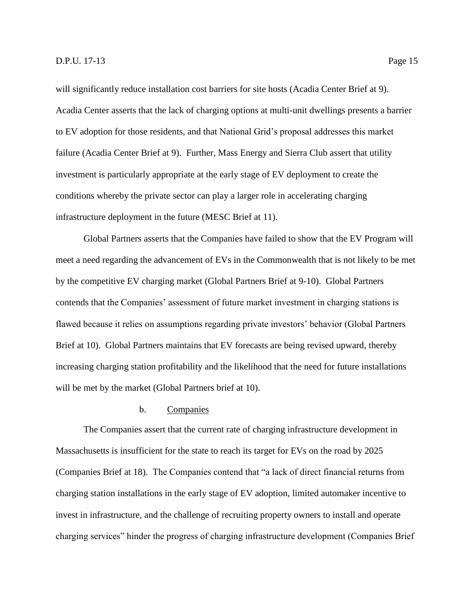will significantly reduce installation cost barriers for site hosts (Acadia Center Brief at 9). Acadia Center asserts that the lack of charging options at multi-unit dwellings presents a barrier to EV adoption for those residents, and that National Grid's proposal addresses this market failure (Acadia Center Brief at 9). Further, Mass Energy and Sierra Club assert that utility investment is particularly appropriate at the early stage of EV deployment to create the conditions whereby the private sector can play a larger role in accelerating charging infrastructure deployment in the future (MESC Brief at 11).

Global Partners asserts that the Companies have failed to show that the EV Program will meet a need regarding the advancement of EVs in the Commonwealth that is not likely to be met by the competitive EV charging market (Global Partners Brief at 9-10). Global Partners contends that the Companies' assessment of future market investment in charging stations is flawed because it relies on assumptions regarding private investors' behavior (Global Partners Brief at 10). Global Partners maintains that EV forecasts are being revised upward, thereby increasing charging station profitability and the likelihood that the need for future installations will be met by the market (Global Partners brief at 10).

## b. Companies

The Companies assert that the current rate of charging infrastructure development in Massachusetts is insufficient for the state to reach its target for EVs on the road by 2025 (Companies Brief at 18). The Companies contend that "a lack of direct financial returns from charging station installations in the early stage of EV adoption, limited automaker incentive to invest in infrastructure, and the challenge of recruiting property owners to install and operate charging services" hinder the progress of charging infrastructure development (Companies Brief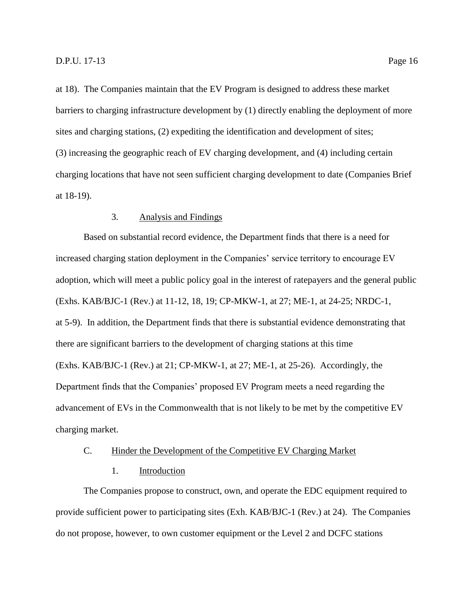at 18). The Companies maintain that the EV Program is designed to address these market barriers to charging infrastructure development by (1) directly enabling the deployment of more sites and charging stations, (2) expediting the identification and development of sites; (3) increasing the geographic reach of EV charging development, and (4) including certain charging locations that have not seen sufficient charging development to date (Companies Brief at 18-19).

## 3. Analysis and Findings

<span id="page-19-0"></span>Based on substantial record evidence, the Department finds that there is a need for increased charging station deployment in the Companies' service territory to encourage EV adoption, which will meet a public policy goal in the interest of ratepayers and the general public (Exhs. KAB/BJC-1 (Rev.) at 11-12, 18, 19; CP-MKW-1, at 27; ME-1, at 24-25; NRDC-1, at 5-9). In addition, the Department finds that there is substantial evidence demonstrating that there are significant barriers to the development of charging stations at this time (Exhs. KAB/BJC-1 (Rev.) at 21; CP-MKW-1, at 27; ME-1, at 25-26). Accordingly, the Department finds that the Companies' proposed EV Program meets a need regarding the advancement of EVs in the Commonwealth that is not likely to be met by the competitive EV charging market.

#### <span id="page-19-1"></span>C. Hinder the Development of the Competitive EV Charging Market

## 1. Introduction

<span id="page-19-2"></span>The Companies propose to construct, own, and operate the EDC equipment required to provide sufficient power to participating sites (Exh. KAB/BJC-1 (Rev.) at 24). The Companies do not propose, however, to own customer equipment or the Level 2 and DCFC stations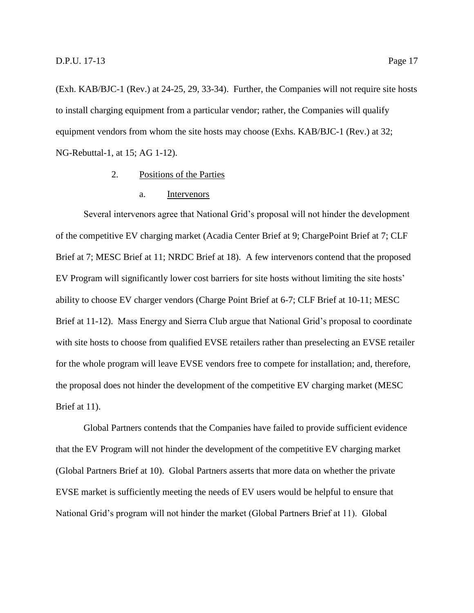(Exh. KAB/BJC-1 (Rev.) at 24-25, 29, 33-34). Further, the Companies will not require site hosts to install charging equipment from a particular vendor; rather, the Companies will qualify equipment vendors from whom the site hosts may choose (Exhs. KAB/BJC-1 (Rev.) at 32; NG-Rebuttal-1, at 15; AG 1-12).

- 2. Positions of the Parties
	- a. Intervenors

<span id="page-20-0"></span>Several intervenors agree that National Grid's proposal will not hinder the development of the competitive EV charging market (Acadia Center Brief at 9; ChargePoint Brief at 7; CLF Brief at 7; MESC Brief at 11; NRDC Brief at 18). A few intervenors contend that the proposed EV Program will significantly lower cost barriers for site hosts without limiting the site hosts' ability to choose EV charger vendors (Charge Point Brief at 6-7; CLF Brief at 10-11; MESC Brief at 11-12). Mass Energy and Sierra Club argue that National Grid's proposal to coordinate with site hosts to choose from qualified EVSE retailers rather than preselecting an EVSE retailer for the whole program will leave EVSE vendors free to compete for installation; and, therefore, the proposal does not hinder the development of the competitive EV charging market (MESC Brief at 11).

Global Partners contends that the Companies have failed to provide sufficient evidence that the EV Program will not hinder the development of the competitive EV charging market (Global Partners Brief at 10). Global Partners asserts that more data on whether the private EVSE market is sufficiently meeting the needs of EV users would be helpful to ensure that National Grid's program will not hinder the market (Global Partners Brief at 11). Global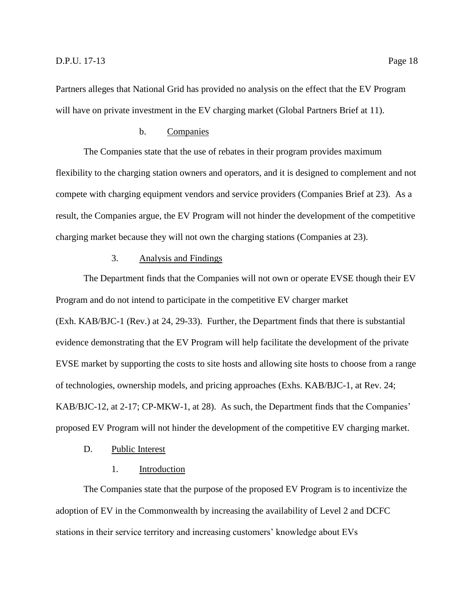Partners alleges that National Grid has provided no analysis on the effect that the EV Program will have on private investment in the EV charging market (Global Partners Brief at 11).

## b. Companies

The Companies state that the use of rebates in their program provides maximum flexibility to the charging station owners and operators, and it is designed to complement and not compete with charging equipment vendors and service providers (Companies Brief at 23). As a result, the Companies argue, the EV Program will not hinder the development of the competitive charging market because they will not own the charging stations (Companies at 23).

## 3. Analysis and Findings

<span id="page-21-0"></span>The Department finds that the Companies will not own or operate EVSE though their EV Program and do not intend to participate in the competitive EV charger market (Exh. KAB/BJC-1 (Rev.) at 24, 29-33). Further, the Department finds that there is substantial evidence demonstrating that the EV Program will help facilitate the development of the private EVSE market by supporting the costs to site hosts and allowing site hosts to choose from a range of technologies, ownership models, and pricing approaches (Exhs. KAB/BJC-1, at Rev. 24; KAB/BJC-12, at 2-17; CP-MKW-1, at 28). As such, the Department finds that the Companies' proposed EV Program will not hinder the development of the competitive EV charging market.

#### <span id="page-21-1"></span>D. Public Interest

### 1. Introduction

<span id="page-21-2"></span>The Companies state that the purpose of the proposed EV Program is to incentivize the adoption of EV in the Commonwealth by increasing the availability of Level 2 and DCFC stations in their service territory and increasing customers' knowledge about EVs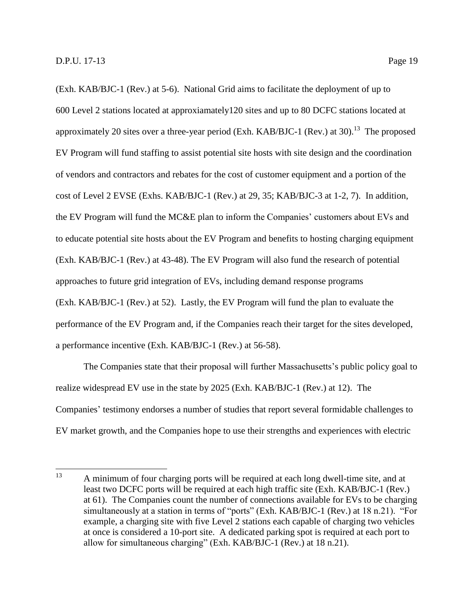(Exh. KAB/BJC-1 (Rev.) at 5-6). National Grid aims to facilitate the deployment of up to 600 Level 2 stations located at approxiamately120 sites and up to 80 DCFC stations located at approximately 20 sites over a three-year period (Exh. KAB/BJC-1 (Rev.) at 30).<sup>13</sup> The proposed EV Program will fund staffing to assist potential site hosts with site design and the coordination of vendors and contractors and rebates for the cost of customer equipment and a portion of the cost of Level 2 EVSE (Exhs. KAB/BJC-1 (Rev.) at 29, 35; KAB/BJC-3 at 1-2, 7). In addition, the EV Program will fund the MC&E plan to inform the Companies' customers about EVs and to educate potential site hosts about the EV Program and benefits to hosting charging equipment (Exh. KAB/BJC-1 (Rev.) at 43-48). The EV Program will also fund the research of potential approaches to future grid integration of EVs, including demand response programs (Exh. KAB/BJC-1 (Rev.) at 52). Lastly, the EV Program will fund the plan to evaluate the performance of the EV Program and, if the Companies reach their target for the sites developed, a performance incentive (Exh. KAB/BJC-1 (Rev.) at 56-58).

The Companies state that their proposal will further Massachusetts's public policy goal to realize widespread EV use in the state by 2025 (Exh. KAB/BJC-1 (Rev.) at 12). The Companies' testimony endorses a number of studies that report several formidable challenges to EV market growth, and the Companies hope to use their strengths and experiences with electric

<sup>13</sup> A minimum of four charging ports will be required at each long dwell-time site, and at least two DCFC ports will be required at each high traffic site (Exh. KAB/BJC-1 (Rev.) at 61). The Companies count the number of connections available for EVs to be charging simultaneously at a station in terms of "ports" (Exh. KAB/BJC-1 (Rev.) at 18 n.21). "For example, a charging site with five Level 2 stations each capable of charging two vehicles at once is considered a 10-port site. A dedicated parking spot is required at each port to allow for simultaneous charging" (Exh. KAB/BJC-1 (Rev.) at 18 n.21).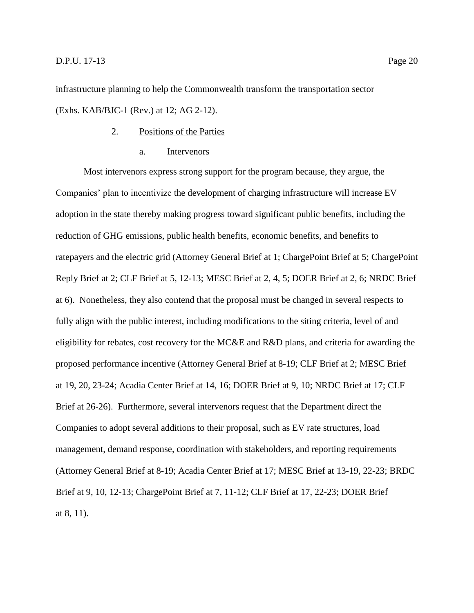infrastructure planning to help the Commonwealth transform the transportation sector (Exhs. KAB/BJC-1 (Rev.) at 12; AG 2-12).

- 2. Positions of the Parties
	- a. Intervenors

<span id="page-23-0"></span>Most intervenors express strong support for the program because, they argue, the Companies' plan to incentivize the development of charging infrastructure will increase EV adoption in the state thereby making progress toward significant public benefits, including the reduction of GHG emissions, public health benefits, economic benefits, and benefits to ratepayers and the electric grid (Attorney General Brief at 1; ChargePoint Brief at 5; ChargePoint Reply Brief at 2; CLF Brief at 5, 12-13; MESC Brief at 2, 4, 5; DOER Brief at 2, 6; NRDC Brief at 6). Nonetheless, they also contend that the proposal must be changed in several respects to fully align with the public interest, including modifications to the siting criteria, level of and eligibility for rebates, cost recovery for the MC&E and R&D plans, and criteria for awarding the proposed performance incentive (Attorney General Brief at 8-19; CLF Brief at 2; MESC Brief at 19, 20, 23-24; Acadia Center Brief at 14, 16; DOER Brief at 9, 10; NRDC Brief at 17; CLF Brief at 26-26). Furthermore, several intervenors request that the Department direct the Companies to adopt several additions to their proposal, such as EV rate structures, load management, demand response, coordination with stakeholders, and reporting requirements (Attorney General Brief at 8-19; Acadia Center Brief at 17; MESC Brief at 13-19, 22-23; BRDC Brief at 9, 10, 12-13; ChargePoint Brief at 7, 11-12; CLF Brief at 17, 22-23; DOER Brief at 8, 11).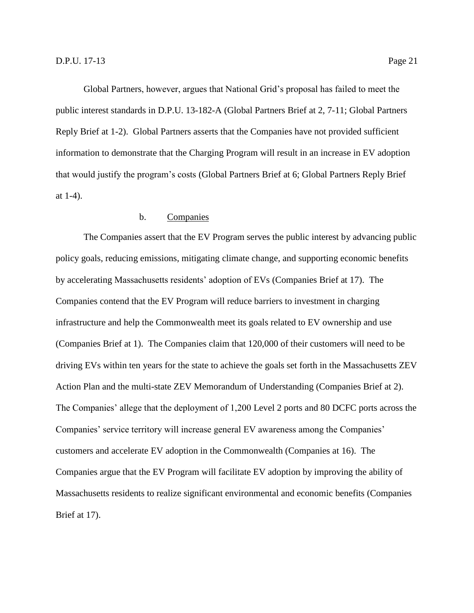Global Partners, however, argues that National Grid's proposal has failed to meet the public interest standards in D.P.U. 13-182-A (Global Partners Brief at 2, 7-11; Global Partners Reply Brief at 1-2). Global Partners asserts that the Companies have not provided sufficient information to demonstrate that the Charging Program will result in an increase in EV adoption

that would justify the program's costs (Global Partners Brief at 6; Global Partners Reply Brief at 1-4).

## b. Companies

The Companies assert that the EV Program serves the public interest by advancing public policy goals, reducing emissions, mitigating climate change, and supporting economic benefits by accelerating Massachusetts residents' adoption of EVs (Companies Brief at 17). The Companies contend that the EV Program will reduce barriers to investment in charging infrastructure and help the Commonwealth meet its goals related to EV ownership and use (Companies Brief at 1). The Companies claim that 120,000 of their customers will need to be driving EVs within ten years for the state to achieve the goals set forth in the Massachusetts ZEV Action Plan and the multi-state ZEV Memorandum of Understanding (Companies Brief at 2). The Companies' allege that the deployment of 1,200 Level 2 ports and 80 DCFC ports across the Companies' service territory will increase general EV awareness among the Companies' customers and accelerate EV adoption in the Commonwealth (Companies at 16). The Companies argue that the EV Program will facilitate EV adoption by improving the ability of Massachusetts residents to realize significant environmental and economic benefits (Companies Brief at 17).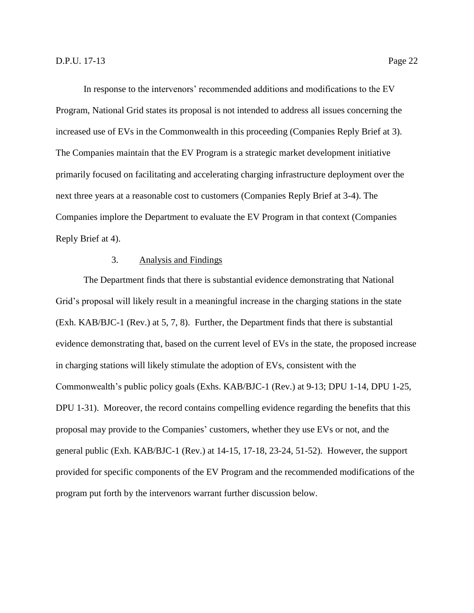In response to the intervenors' recommended additions and modifications to the EV Program, National Grid states its proposal is not intended to address all issues concerning the increased use of EVs in the Commonwealth in this proceeding (Companies Reply Brief at 3). The Companies maintain that the EV Program is a strategic market development initiative primarily focused on facilitating and accelerating charging infrastructure deployment over the next three years at a reasonable cost to customers (Companies Reply Brief at 3-4). The Companies implore the Department to evaluate the EV Program in that context (Companies Reply Brief at 4).

## 3. Analysis and Findings

<span id="page-25-0"></span>The Department finds that there is substantial evidence demonstrating that National Grid's proposal will likely result in a meaningful increase in the charging stations in the state (Exh. KAB/BJC-1 (Rev.) at 5, 7, 8). Further, the Department finds that there is substantial evidence demonstrating that, based on the current level of EVs in the state, the proposed increase in charging stations will likely stimulate the adoption of EVs, consistent with the Commonwealth's public policy goals (Exhs. KAB/BJC-1 (Rev.) at 9-13; DPU 1-14, DPU 1-25, DPU 1-31). Moreover, the record contains compelling evidence regarding the benefits that this proposal may provide to the Companies' customers, whether they use EVs or not, and the general public (Exh. KAB/BJC-1 (Rev.) at 14-15, 17-18, 23-24, 51-52). However, the support provided for specific components of the EV Program and the recommended modifications of the program put forth by the intervenors warrant further discussion below.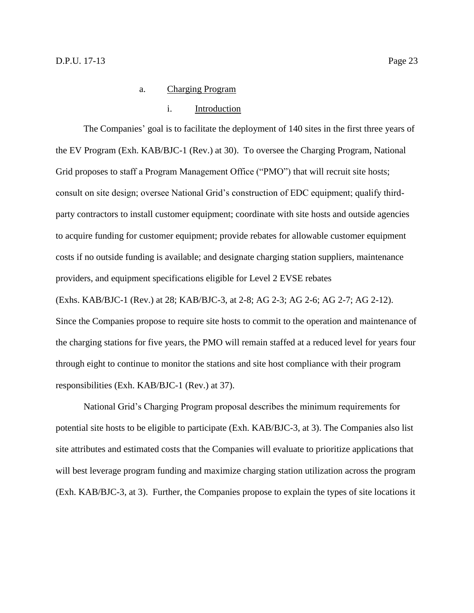#### i. Introduction

The Companies' goal is to facilitate the deployment of 140 sites in the first three years of the EV Program (Exh. KAB/BJC-1 (Rev.) at 30). To oversee the Charging Program, National Grid proposes to staff a Program Management Office ("PMO") that will recruit site hosts; consult on site design; oversee National Grid's construction of EDC equipment; qualify thirdparty contractors to install customer equipment; coordinate with site hosts and outside agencies to acquire funding for customer equipment; provide rebates for allowable customer equipment costs if no outside funding is available; and designate charging station suppliers, maintenance providers, and equipment specifications eligible for Level 2 EVSE rebates

(Exhs. KAB/BJC-1 (Rev.) at 28; KAB/BJC-3, at 2-8; AG 2-3; AG 2-6; AG 2-7; AG 2-12).

Since the Companies propose to require site hosts to commit to the operation and maintenance of the charging stations for five years, the PMO will remain staffed at a reduced level for years four through eight to continue to monitor the stations and site host compliance with their program responsibilities (Exh. KAB/BJC-1 (Rev.) at 37).

National Grid's Charging Program proposal describes the minimum requirements for potential site hosts to be eligible to participate (Exh. KAB/BJC-3, at 3). The Companies also list site attributes and estimated costs that the Companies will evaluate to prioritize applications that will best leverage program funding and maximize charging station utilization across the program (Exh. KAB/BJC-3, at 3). Further, the Companies propose to explain the types of site locations it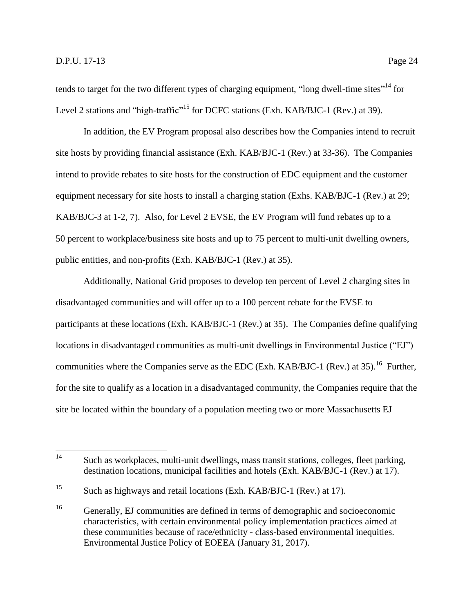tends to target for the two different types of charging equipment, "long dwell-time sites"<sup>14</sup> for Level 2 stations and "high-traffic"<sup>15</sup> for DCFC stations (Exh. KAB/BJC-1 (Rev.) at 39).

In addition, the EV Program proposal also describes how the Companies intend to recruit site hosts by providing financial assistance (Exh. KAB/BJC-1 (Rev.) at 33-36). The Companies intend to provide rebates to site hosts for the construction of EDC equipment and the customer equipment necessary for site hosts to install a charging station (Exhs. KAB/BJC-1 (Rev.) at 29; KAB/BJC-3 at 1-2, 7). Also, for Level 2 EVSE, the EV Program will fund rebates up to a 50 percent to workplace/business site hosts and up to 75 percent to multi-unit dwelling owners, public entities, and non-profits (Exh. KAB/BJC-1 (Rev.) at 35).

Additionally, National Grid proposes to develop ten percent of Level 2 charging sites in disadvantaged communities and will offer up to a 100 percent rebate for the EVSE to participants at these locations (Exh. KAB/BJC-1 (Rev.) at 35). The Companies define qualifying locations in disadvantaged communities as multi-unit dwellings in Environmental Justice ("EJ") communities where the Companies serve as the EDC (Exh. KAB/BJC-1 (Rev.) at 35).<sup>16</sup> Further, for the site to qualify as a location in a disadvantaged community, the Companies require that the site be located within the boundary of a population meeting two or more Massachusetts EJ

 $14$ Such as workplaces, multi-unit dwellings, mass transit stations, colleges, fleet parking, destination locations, municipal facilities and hotels (Exh. KAB/BJC-1 (Rev.) at 17).

<sup>15</sup> Such as highways and retail locations (Exh. KAB/BJC-1 (Rev.) at 17).

<sup>&</sup>lt;sup>16</sup> Generally, EJ communities are defined in terms of demographic and socioeconomic characteristics, with certain environmental policy implementation practices aimed at these communities because of race/ethnicity - class-based environmental inequities. Environmental Justice Policy of EOEEA (January 31, 2017).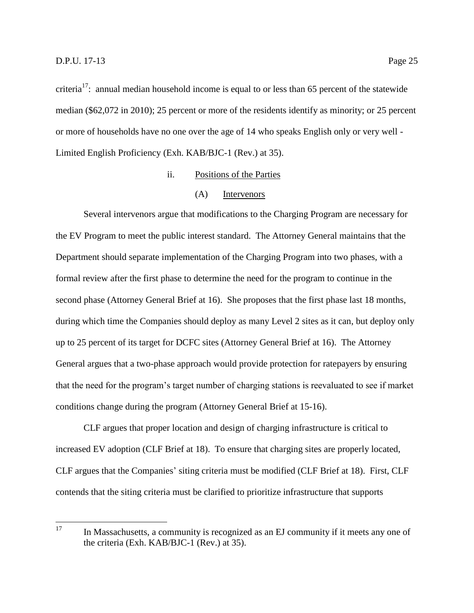criteria<sup>17</sup>: annual median household income is equal to or less than 65 percent of the statewide median (\$62,072 in 2010); 25 percent or more of the residents identify as minority; or 25 percent or more of households have no one over the age of 14 who speaks English only or very well - Limited English Proficiency (Exh. KAB/BJC-1 (Rev.) at 35).

## ii. Positions of the Parties

#### (A) Intervenors

Several intervenors argue that modifications to the Charging Program are necessary for the EV Program to meet the public interest standard. The Attorney General maintains that the Department should separate implementation of the Charging Program into two phases, with a formal review after the first phase to determine the need for the program to continue in the second phase (Attorney General Brief at 16). She proposes that the first phase last 18 months, during which time the Companies should deploy as many Level 2 sites as it can, but deploy only up to 25 percent of its target for DCFC sites (Attorney General Brief at 16). The Attorney General argues that a two-phase approach would provide protection for ratepayers by ensuring that the need for the program's target number of charging stations is reevaluated to see if market conditions change during the program (Attorney General Brief at 15-16).

CLF argues that proper location and design of charging infrastructure is critical to increased EV adoption (CLF Brief at 18). To ensure that charging sites are properly located, CLF argues that the Companies' siting criteria must be modified (CLF Brief at 18). First, CLF contends that the siting criteria must be clarified to prioritize infrastructure that supports

<sup>17</sup> In Massachusetts, a community is recognized as an EJ community if it meets any one of the criteria (Exh. KAB/BJC-1 (Rev.) at 35).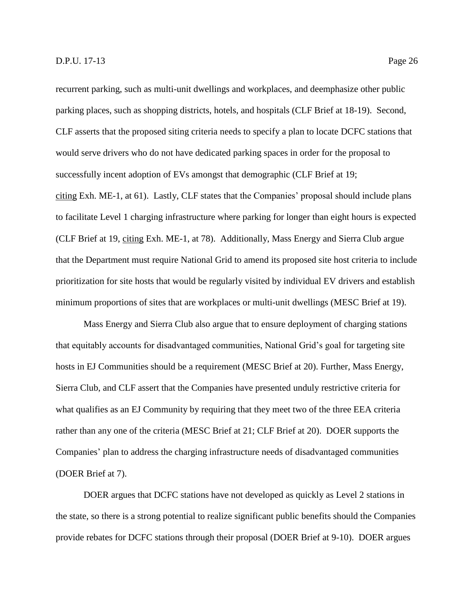recurrent parking, such as multi-unit dwellings and workplaces, and deemphasize other public parking places, such as shopping districts, hotels, and hospitals (CLF Brief at 18-19). Second, CLF asserts that the proposed siting criteria needs to specify a plan to locate DCFC stations that would serve drivers who do not have dedicated parking spaces in order for the proposal to successfully incent adoption of EVs amongst that demographic (CLF Brief at 19; citing Exh. ME-1, at 61). Lastly, CLF states that the Companies' proposal should include plans to facilitate Level 1 charging infrastructure where parking for longer than eight hours is expected (CLF Brief at 19, citing Exh. ME-1, at 78). Additionally, Mass Energy and Sierra Club argue that the Department must require National Grid to amend its proposed site host criteria to include prioritization for site hosts that would be regularly visited by individual EV drivers and establish

minimum proportions of sites that are workplaces or multi-unit dwellings (MESC Brief at 19). Mass Energy and Sierra Club also argue that to ensure deployment of charging stations

that equitably accounts for disadvantaged communities, National Grid's goal for targeting site hosts in EJ Communities should be a requirement (MESC Brief at 20). Further, Mass Energy, Sierra Club, and CLF assert that the Companies have presented unduly restrictive criteria for what qualifies as an EJ Community by requiring that they meet two of the three EEA criteria rather than any one of the criteria (MESC Brief at 21; CLF Brief at 20). DOER supports the Companies' plan to address the charging infrastructure needs of disadvantaged communities (DOER Brief at 7).

DOER argues that DCFC stations have not developed as quickly as Level 2 stations in the state, so there is a strong potential to realize significant public benefits should the Companies provide rebates for DCFC stations through their proposal (DOER Brief at 9-10). DOER argues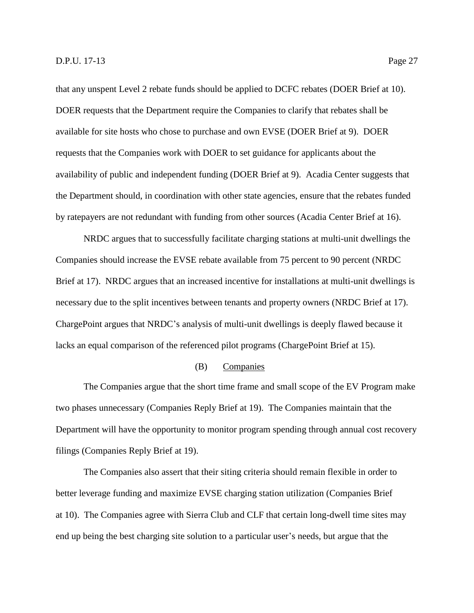that any unspent Level 2 rebate funds should be applied to DCFC rebates (DOER Brief at 10). DOER requests that the Department require the Companies to clarify that rebates shall be available for site hosts who chose to purchase and own EVSE (DOER Brief at 9). DOER requests that the Companies work with DOER to set guidance for applicants about the availability of public and independent funding (DOER Brief at 9). Acadia Center suggests that the Department should, in coordination with other state agencies, ensure that the rebates funded by ratepayers are not redundant with funding from other sources (Acadia Center Brief at 16).

NRDC argues that to successfully facilitate charging stations at multi-unit dwellings the Companies should increase the EVSE rebate available from 75 percent to 90 percent (NRDC Brief at 17). NRDC argues that an increased incentive for installations at multi-unit dwellings is necessary due to the split incentives between tenants and property owners (NRDC Brief at 17). ChargePoint argues that NRDC's analysis of multi-unit dwellings is deeply flawed because it lacks an equal comparison of the referenced pilot programs (ChargePoint Brief at 15).

## (B) Companies

The Companies argue that the short time frame and small scope of the EV Program make two phases unnecessary (Companies Reply Brief at 19). The Companies maintain that the Department will have the opportunity to monitor program spending through annual cost recovery filings (Companies Reply Brief at 19).

The Companies also assert that their siting criteria should remain flexible in order to better leverage funding and maximize EVSE charging station utilization (Companies Brief at 10). The Companies agree with Sierra Club and CLF that certain long-dwell time sites may end up being the best charging site solution to a particular user's needs, but argue that the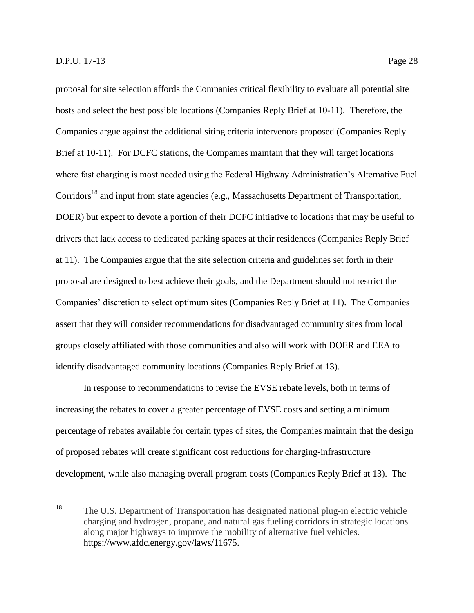proposal for site selection affords the Companies critical flexibility to evaluate all potential site hosts and select the best possible locations (Companies Reply Brief at 10-11). Therefore, the Companies argue against the additional siting criteria intervenors proposed (Companies Reply Brief at 10-11). For DCFC stations, the Companies maintain that they will target locations where fast charging is most needed using the Federal Highway Administration's Alternative Fuel Corridors<sup>18</sup> and input from state agencies (e.g., Massachusetts Department of Transportation, DOER) but expect to devote a portion of their DCFC initiative to locations that may be useful to drivers that lack access to dedicated parking spaces at their residences (Companies Reply Brief at 11). The Companies argue that the site selection criteria and guidelines set forth in their proposal are designed to best achieve their goals, and the Department should not restrict the Companies' discretion to select optimum sites (Companies Reply Brief at 11). The Companies assert that they will consider recommendations for disadvantaged community sites from local groups closely affiliated with those communities and also will work with DOER and EEA to identify disadvantaged community locations (Companies Reply Brief at 13).

In response to recommendations to revise the EVSE rebate levels, both in terms of increasing the rebates to cover a greater percentage of EVSE costs and setting a minimum percentage of rebates available for certain types of sites, the Companies maintain that the design of proposed rebates will create significant cost reductions for charging-infrastructure development, while also managing overall program costs (Companies Reply Brief at 13). The

<sup>18</sup> The U.S. Department of Transportation has designated national plug-in electric vehicle charging and hydrogen, propane, and natural gas fueling corridors in strategic locations along major highways to improve the mobility of alternative fuel vehicles. https://www.afdc.energy.gov/laws/11675.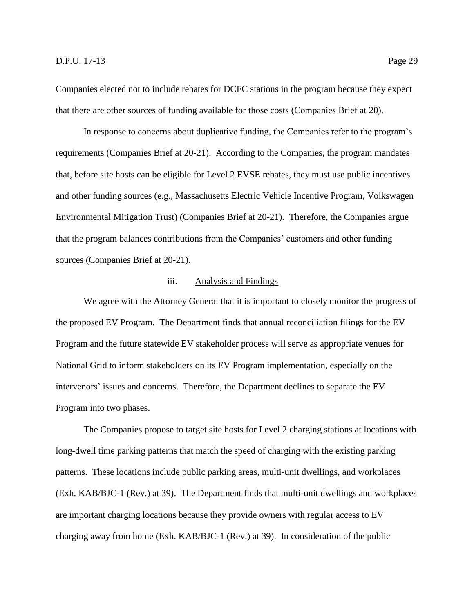Companies elected not to include rebates for DCFC stations in the program because they expect that there are other sources of funding available for those costs (Companies Brief at 20).

In response to concerns about duplicative funding, the Companies refer to the program's requirements (Companies Brief at 20-21). According to the Companies, the program mandates that, before site hosts can be eligible for Level 2 EVSE rebates, they must use public incentives and other funding sources (e.g., Massachusetts Electric Vehicle Incentive Program, Volkswagen Environmental Mitigation Trust) (Companies Brief at 20-21). Therefore, the Companies argue that the program balances contributions from the Companies' customers and other funding sources (Companies Brief at 20-21).

## iii. Analysis and Findings

We agree with the Attorney General that it is important to closely monitor the progress of the proposed EV Program. The Department finds that annual reconciliation filings for the EV Program and the future statewide EV stakeholder process will serve as appropriate venues for National Grid to inform stakeholders on its EV Program implementation, especially on the intervenors' issues and concerns. Therefore, the Department declines to separate the EV Program into two phases.

The Companies propose to target site hosts for Level 2 charging stations at locations with long-dwell time parking patterns that match the speed of charging with the existing parking patterns. These locations include public parking areas, multi-unit dwellings, and workplaces (Exh. KAB/BJC-1 (Rev.) at 39). The Department finds that multi-unit dwellings and workplaces are important charging locations because they provide owners with regular access to EV charging away from home (Exh. KAB/BJC-1 (Rev.) at 39). In consideration of the public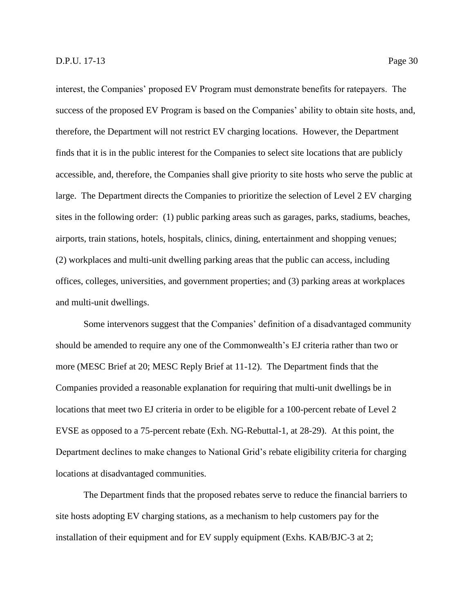interest, the Companies' proposed EV Program must demonstrate benefits for ratepayers. The success of the proposed EV Program is based on the Companies' ability to obtain site hosts, and, therefore, the Department will not restrict EV charging locations. However, the Department finds that it is in the public interest for the Companies to select site locations that are publicly accessible, and, therefore, the Companies shall give priority to site hosts who serve the public at large. The Department directs the Companies to prioritize the selection of Level 2 EV charging sites in the following order: (1) public parking areas such as garages, parks, stadiums, beaches, airports, train stations, hotels, hospitals, clinics, dining, entertainment and shopping venues; (2) workplaces and multi-unit dwelling parking areas that the public can access, including offices, colleges, universities, and government properties; and (3) parking areas at workplaces and multi-unit dwellings.

Some intervenors suggest that the Companies' definition of a disadvantaged community should be amended to require any one of the Commonwealth's EJ criteria rather than two or more (MESC Brief at 20; MESC Reply Brief at 11-12). The Department finds that the Companies provided a reasonable explanation for requiring that multi-unit dwellings be in locations that meet two EJ criteria in order to be eligible for a 100-percent rebate of Level 2 EVSE as opposed to a 75-percent rebate (Exh. NG-Rebuttal-1, at 28-29). At this point, the Department declines to make changes to National Grid's rebate eligibility criteria for charging locations at disadvantaged communities.

The Department finds that the proposed rebates serve to reduce the financial barriers to site hosts adopting EV charging stations, as a mechanism to help customers pay for the installation of their equipment and for EV supply equipment (Exhs. KAB/BJC-3 at 2;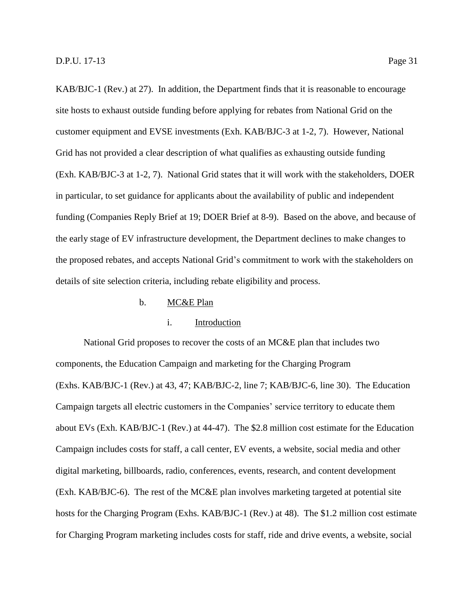KAB/BJC-1 (Rev.) at 27). In addition, the Department finds that it is reasonable to encourage site hosts to exhaust outside funding before applying for rebates from National Grid on the customer equipment and EVSE investments (Exh. KAB/BJC-3 at 1-2, 7). However, National Grid has not provided a clear description of what qualifies as exhausting outside funding (Exh. KAB/BJC-3 at 1-2, 7). National Grid states that it will work with the stakeholders, DOER in particular, to set guidance for applicants about the availability of public and independent funding (Companies Reply Brief at 19; DOER Brief at 8-9). Based on the above, and because of the early stage of EV infrastructure development, the Department declines to make changes to the proposed rebates, and accepts National Grid's commitment to work with the stakeholders on details of site selection criteria, including rebate eligibility and process.

#### b. MC&E Plan

## i. Introduction

National Grid proposes to recover the costs of an MC&E plan that includes two components, the Education Campaign and marketing for the Charging Program (Exhs. KAB/BJC-1 (Rev.) at 43, 47; KAB/BJC-2, line 7; KAB/BJC-6, line 30). The Education Campaign targets all electric customers in the Companies' service territory to educate them about EVs (Exh. KAB/BJC-1 (Rev.) at 44-47). The \$2.8 million cost estimate for the Education Campaign includes costs for staff, a call center, EV events, a website, social media and other digital marketing, billboards, radio, conferences, events, research, and content development (Exh. KAB/BJC-6). The rest of the MC&E plan involves marketing targeted at potential site hosts for the Charging Program (Exhs. KAB/BJC-1 (Rev.) at 48). The \$1.2 million cost estimate for Charging Program marketing includes costs for staff, ride and drive events, a website, social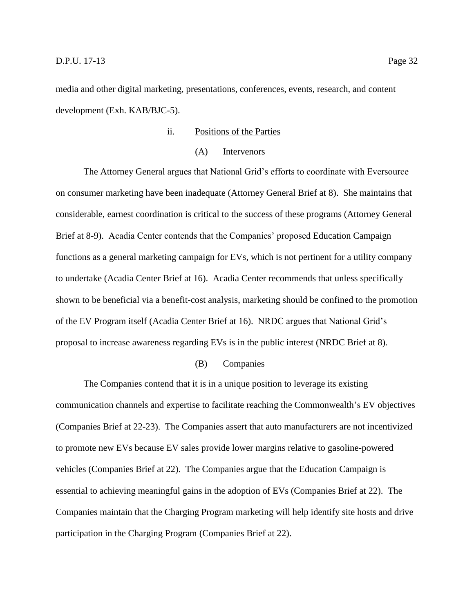media and other digital marketing, presentations, conferences, events, research, and content development (Exh. KAB/BJC-5).

## ii. Positions of the Parties

#### (A) Intervenors

The Attorney General argues that National Grid's efforts to coordinate with Eversource on consumer marketing have been inadequate (Attorney General Brief at 8). She maintains that considerable, earnest coordination is critical to the success of these programs (Attorney General Brief at 8-9). Acadia Center contends that the Companies' proposed Education Campaign functions as a general marketing campaign for EVs, which is not pertinent for a utility company to undertake (Acadia Center Brief at 16). Acadia Center recommends that unless specifically shown to be beneficial via a benefit-cost analysis, marketing should be confined to the promotion of the EV Program itself (Acadia Center Brief at 16). NRDC argues that National Grid's proposal to increase awareness regarding EVs is in the public interest (NRDC Brief at 8).

## (B) Companies

The Companies contend that it is in a unique position to leverage its existing communication channels and expertise to facilitate reaching the Commonwealth's EV objectives (Companies Brief at 22-23). The Companies assert that auto manufacturers are not incentivized to promote new EVs because EV sales provide lower margins relative to gasoline-powered vehicles (Companies Brief at 22). The Companies argue that the Education Campaign is essential to achieving meaningful gains in the adoption of EVs (Companies Brief at 22). The Companies maintain that the Charging Program marketing will help identify site hosts and drive participation in the Charging Program (Companies Brief at 22).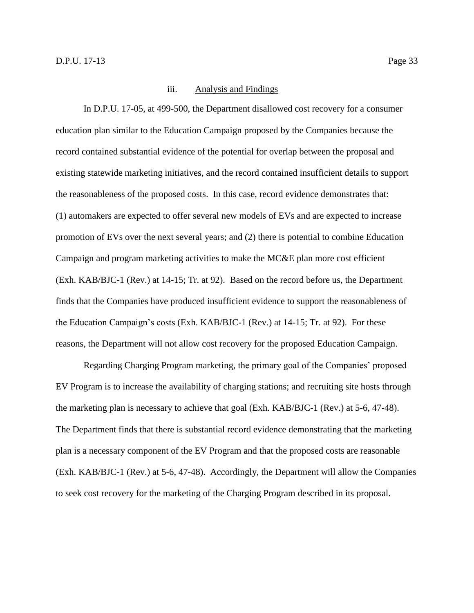#### iii. Analysis and Findings

In D.P.U. 17-05, at 499-500, the Department disallowed cost recovery for a consumer education plan similar to the Education Campaign proposed by the Companies because the record contained substantial evidence of the potential for overlap between the proposal and existing statewide marketing initiatives, and the record contained insufficient details to support the reasonableness of the proposed costs. In this case, record evidence demonstrates that: (1) automakers are expected to offer several new models of EVs and are expected to increase promotion of EVs over the next several years; and (2) there is potential to combine Education Campaign and program marketing activities to make the MC&E plan more cost efficient (Exh. KAB/BJC-1 (Rev.) at 14-15; Tr. at 92). Based on the record before us, the Department finds that the Companies have produced insufficient evidence to support the reasonableness of the Education Campaign's costs (Exh. KAB/BJC-1 (Rev.) at 14-15; Tr. at 92). For these reasons, the Department will not allow cost recovery for the proposed Education Campaign.

Regarding Charging Program marketing, the primary goal of the Companies' proposed EV Program is to increase the availability of charging stations; and recruiting site hosts through the marketing plan is necessary to achieve that goal (Exh. KAB/BJC-1 (Rev.) at 5-6, 47-48). The Department finds that there is substantial record evidence demonstrating that the marketing plan is a necessary component of the EV Program and that the proposed costs are reasonable (Exh. KAB/BJC-1 (Rev.) at 5-6, 47-48). Accordingly, the Department will allow the Companies to seek cost recovery for the marketing of the Charging Program described in its proposal.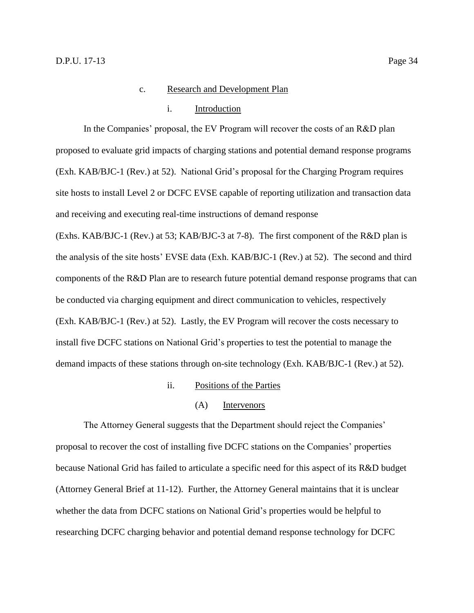#### i. Introduction

In the Companies' proposal, the EV Program will recover the costs of an R&D plan proposed to evaluate grid impacts of charging stations and potential demand response programs (Exh. KAB/BJC-1 (Rev.) at 52). National Grid's proposal for the Charging Program requires site hosts to install Level 2 or DCFC EVSE capable of reporting utilization and transaction data and receiving and executing real-time instructions of demand response

(Exhs. KAB/BJC-1 (Rev.) at 53; KAB/BJC-3 at 7-8). The first component of the R&D plan is the analysis of the site hosts' EVSE data (Exh. KAB/BJC-1 (Rev.) at 52). The second and third components of the R&D Plan are to research future potential demand response programs that can be conducted via charging equipment and direct communication to vehicles, respectively (Exh. KAB/BJC-1 (Rev.) at 52). Lastly, the EV Program will recover the costs necessary to install five DCFC stations on National Grid's properties to test the potential to manage the demand impacts of these stations through on-site technology (Exh. KAB/BJC-1 (Rev.) at 52).

- ii. Positions of the Parties
	- (A) Intervenors

The Attorney General suggests that the Department should reject the Companies' proposal to recover the cost of installing five DCFC stations on the Companies' properties because National Grid has failed to articulate a specific need for this aspect of its R&D budget (Attorney General Brief at 11-12). Further, the Attorney General maintains that it is unclear whether the data from DCFC stations on National Grid's properties would be helpful to researching DCFC charging behavior and potential demand response technology for DCFC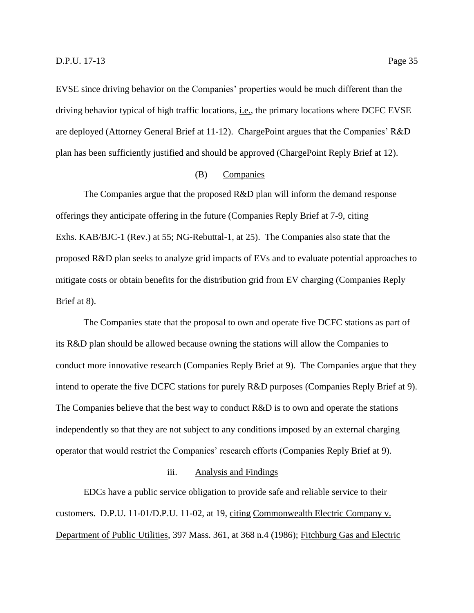EVSE since driving behavior on the Companies' properties would be much different than the driving behavior typical of high traffic locations, i.e., the primary locations where DCFC EVSE are deployed (Attorney General Brief at 11-12). ChargePoint argues that the Companies' R&D plan has been sufficiently justified and should be approved (ChargePoint Reply Brief at 12).

#### (B) Companies

The Companies argue that the proposed R&D plan will inform the demand response offerings they anticipate offering in the future (Companies Reply Brief at 7-9, citing Exhs. KAB/BJC-1 (Rev.) at 55; NG-Rebuttal-1, at 25). The Companies also state that the proposed R&D plan seeks to analyze grid impacts of EVs and to evaluate potential approaches to mitigate costs or obtain benefits for the distribution grid from EV charging (Companies Reply Brief at 8).

The Companies state that the proposal to own and operate five DCFC stations as part of its R&D plan should be allowed because owning the stations will allow the Companies to conduct more innovative research (Companies Reply Brief at 9). The Companies argue that they intend to operate the five DCFC stations for purely R&D purposes (Companies Reply Brief at 9). The Companies believe that the best way to conduct R&D is to own and operate the stations independently so that they are not subject to any conditions imposed by an external charging operator that would restrict the Companies' research efforts (Companies Reply Brief at 9).

#### iii. Analysis and Findings

EDCs have a public service obligation to provide safe and reliable service to their customers. D.P.U. 11-01/D.P.U. 11-02, at 19, citing Commonwealth Electric Company v. Department of Public Utilities, 397 Mass. 361, at 368 n.4 (1986); Fitchburg Gas and Electric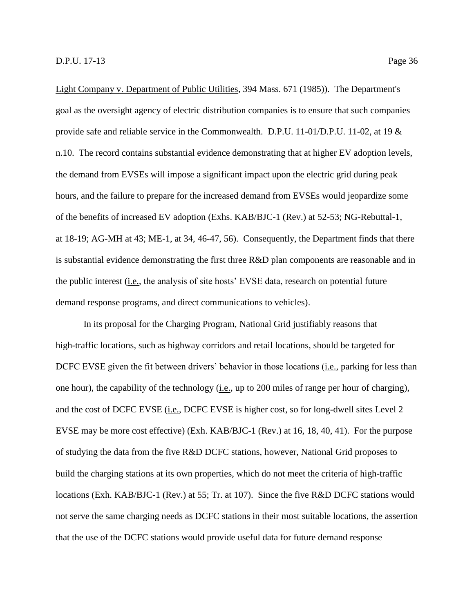Light Company v. Department of Public Utilities, 394 Mass. 671 (1985)). The Department's goal as the oversight agency of electric distribution companies is to ensure that such companies provide safe and reliable service in the Commonwealth. D.P.U. 11-01/D.P.U. 11-02, at 19 & n.10. The record contains substantial evidence demonstrating that at higher EV adoption levels, the demand from EVSEs will impose a significant impact upon the electric grid during peak hours, and the failure to prepare for the increased demand from EVSEs would jeopardize some of the benefits of increased EV adoption (Exhs. KAB/BJC-1 (Rev.) at 52-53; NG-Rebuttal-1, at 18-19; AG-MH at 43; ME-1, at 34, 46-47, 56). Consequently, the Department finds that there is substantial evidence demonstrating the first three R&D plan components are reasonable and in the public interest (i.e., the analysis of site hosts' EVSE data, research on potential future demand response programs, and direct communications to vehicles).

In its proposal for the Charging Program, National Grid justifiably reasons that high-traffic locations, such as highway corridors and retail locations, should be targeted for DCFC EVSE given the fit between drivers' behavior in those locations (i.e., parking for less than one hour), the capability of the technology (i.e., up to 200 miles of range per hour of charging), and the cost of DCFC EVSE (i.e., DCFC EVSE is higher cost, so for long-dwell sites Level 2 EVSE may be more cost effective) (Exh. KAB/BJC-1 (Rev.) at 16, 18, 40, 41). For the purpose of studying the data from the five R&D DCFC stations, however, National Grid proposes to build the charging stations at its own properties, which do not meet the criteria of high-traffic locations (Exh. KAB/BJC-1 (Rev.) at 55; Tr. at 107). Since the five R&D DCFC stations would not serve the same charging needs as DCFC stations in their most suitable locations, the assertion that the use of the DCFC stations would provide useful data for future demand response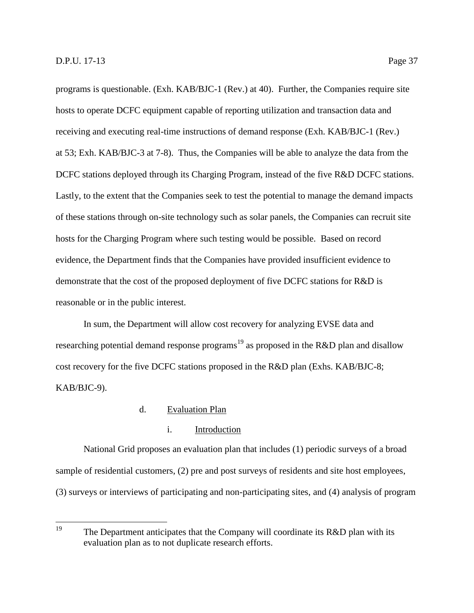hosts to operate DCFC equipment capable of reporting utilization and transaction data and receiving and executing real-time instructions of demand response (Exh. KAB/BJC-1 (Rev.) at 53; Exh. KAB/BJC-3 at 7-8). Thus, the Companies will be able to analyze the data from the DCFC stations deployed through its Charging Program, instead of the five R&D DCFC stations. Lastly, to the extent that the Companies seek to test the potential to manage the demand impacts of these stations through on-site technology such as solar panels, the Companies can recruit site hosts for the Charging Program where such testing would be possible. Based on record evidence, the Department finds that the Companies have provided insufficient evidence to demonstrate that the cost of the proposed deployment of five DCFC stations for R&D is reasonable or in the public interest.

In sum, the Department will allow cost recovery for analyzing EVSE data and researching potential demand response programs<sup>19</sup> as proposed in the R&D plan and disallow cost recovery for the five DCFC stations proposed in the R&D plan (Exhs. KAB/BJC-8; KAB/BJC-9).

## d. Evaluation Plan

## i. Introduction

National Grid proposes an evaluation plan that includes (1) periodic surveys of a broad sample of residential customers, (2) pre and post surveys of residents and site host employees, (3) surveys or interviews of participating and non-participating sites, and (4) analysis of program

<sup>19</sup> The Department anticipates that the Company will coordinate its  $R&D$  plan with its evaluation plan as to not duplicate research efforts.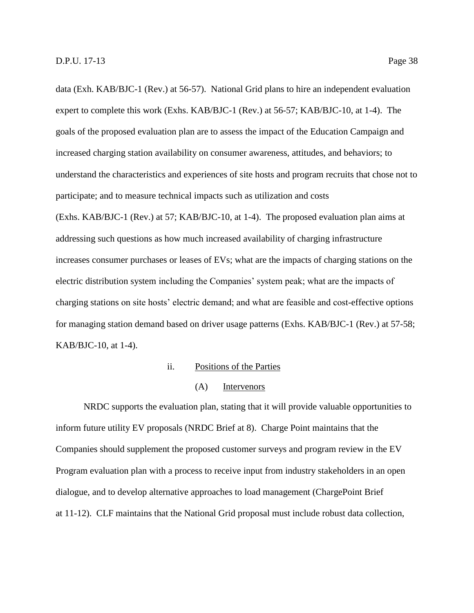data (Exh. KAB/BJC-1 (Rev.) at 56-57). National Grid plans to hire an independent evaluation expert to complete this work (Exhs. KAB/BJC-1 (Rev.) at 56-57; KAB/BJC-10, at 1-4). The goals of the proposed evaluation plan are to assess the impact of the Education Campaign and increased charging station availability on consumer awareness, attitudes, and behaviors; to understand the characteristics and experiences of site hosts and program recruits that chose not to participate; and to measure technical impacts such as utilization and costs (Exhs. KAB/BJC-1 (Rev.) at 57; KAB/BJC-10, at 1-4). The proposed evaluation plan aims at addressing such questions as how much increased availability of charging infrastructure increases consumer purchases or leases of EVs; what are the impacts of charging stations on the electric distribution system including the Companies' system peak; what are the impacts of charging stations on site hosts' electric demand; and what are feasible and cost-effective options for managing station demand based on driver usage patterns (Exhs. KAB/BJC-1 (Rev.) at 57-58; KAB/BJC-10, at 1-4).

## ii. Positions of the Parties

## (A) Intervenors

NRDC supports the evaluation plan, stating that it will provide valuable opportunities to inform future utility EV proposals (NRDC Brief at 8). Charge Point maintains that the Companies should supplement the proposed customer surveys and program review in the EV Program evaluation plan with a process to receive input from industry stakeholders in an open dialogue, and to develop alternative approaches to load management (ChargePoint Brief at 11-12). CLF maintains that the National Grid proposal must include robust data collection,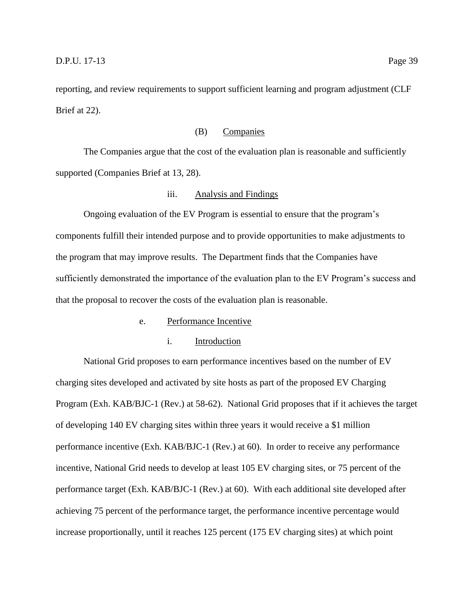reporting, and review requirements to support sufficient learning and program adjustment (CLF Brief at 22).

## (B) Companies

The Companies argue that the cost of the evaluation plan is reasonable and sufficiently supported (Companies Brief at 13, 28).

#### iii. Analysis and Findings

Ongoing evaluation of the EV Program is essential to ensure that the program's components fulfill their intended purpose and to provide opportunities to make adjustments to the program that may improve results. The Department finds that the Companies have sufficiently demonstrated the importance of the evaluation plan to the EV Program's success and that the proposal to recover the costs of the evaluation plan is reasonable.

#### e. Performance Incentive

## i. Introduction

National Grid proposes to earn performance incentives based on the number of EV charging sites developed and activated by site hosts as part of the proposed EV Charging Program (Exh. KAB/BJC-1 (Rev.) at 58-62). National Grid proposes that if it achieves the target of developing 140 EV charging sites within three years it would receive a \$1 million performance incentive (Exh. KAB/BJC-1 (Rev.) at 60). In order to receive any performance incentive, National Grid needs to develop at least 105 EV charging sites, or 75 percent of the performance target (Exh. KAB/BJC-1 (Rev.) at 60). With each additional site developed after achieving 75 percent of the performance target, the performance incentive percentage would increase proportionally, until it reaches 125 percent (175 EV charging sites) at which point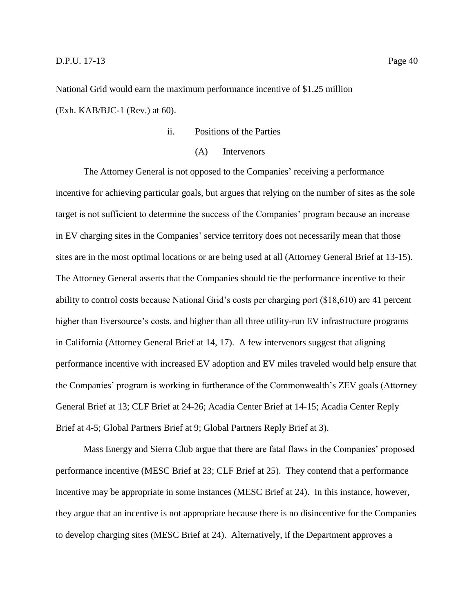#### **D.P.U.** 17-13 Page 40

National Grid would earn the maximum performance incentive of \$1.25 million (Exh. KAB/BJC-1 (Rev.) at 60).

## ii. Positions of the Parties

#### (A) Intervenors

The Attorney General is not opposed to the Companies' receiving a performance incentive for achieving particular goals, but argues that relying on the number of sites as the sole target is not sufficient to determine the success of the Companies' program because an increase in EV charging sites in the Companies' service territory does not necessarily mean that those sites are in the most optimal locations or are being used at all (Attorney General Brief at 13-15). The Attorney General asserts that the Companies should tie the performance incentive to their ability to control costs because National Grid's costs per charging port (\$18,610) are 41 percent higher than Eversource's costs, and higher than all three utility-run EV infrastructure programs in California (Attorney General Brief at 14, 17). A few intervenors suggest that aligning performance incentive with increased EV adoption and EV miles traveled would help ensure that the Companies' program is working in furtherance of the Commonwealth's ZEV goals (Attorney General Brief at 13; CLF Brief at 24-26; Acadia Center Brief at 14-15; Acadia Center Reply Brief at 4-5; Global Partners Brief at 9; Global Partners Reply Brief at 3).

Mass Energy and Sierra Club argue that there are fatal flaws in the Companies' proposed performance incentive (MESC Brief at 23; CLF Brief at 25). They contend that a performance incentive may be appropriate in some instances (MESC Brief at 24). In this instance, however, they argue that an incentive is not appropriate because there is no disincentive for the Companies to develop charging sites (MESC Brief at 24). Alternatively, if the Department approves a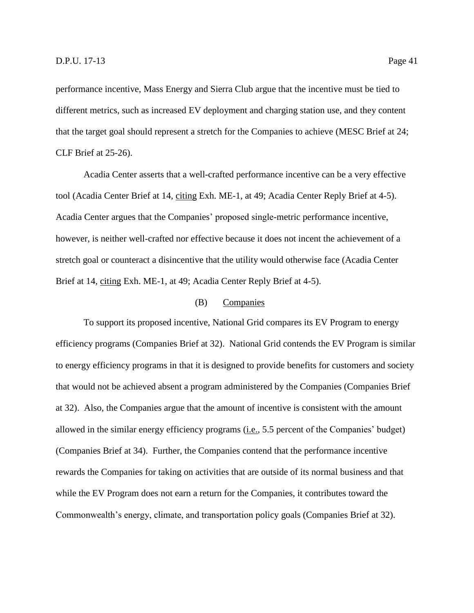performance incentive, Mass Energy and Sierra Club argue that the incentive must be tied to different metrics, such as increased EV deployment and charging station use, and they content that the target goal should represent a stretch for the Companies to achieve (MESC Brief at 24; CLF Brief at 25-26).

Acadia Center asserts that a well-crafted performance incentive can be a very effective tool (Acadia Center Brief at 14, citing Exh. ME-1, at 49; Acadia Center Reply Brief at 4-5). Acadia Center argues that the Companies' proposed single-metric performance incentive, however, is neither well-crafted nor effective because it does not incent the achievement of a stretch goal or counteract a disincentive that the utility would otherwise face (Acadia Center Brief at 14, citing Exh. ME-1, at 49; Acadia Center Reply Brief at 4-5).

## (B) Companies

To support its proposed incentive, National Grid compares its EV Program to energy efficiency programs (Companies Brief at 32). National Grid contends the EV Program is similar to energy efficiency programs in that it is designed to provide benefits for customers and society that would not be achieved absent a program administered by the Companies (Companies Brief at 32). Also, the Companies argue that the amount of incentive is consistent with the amount allowed in the similar energy efficiency programs (i.e., 5.5 percent of the Companies' budget) (Companies Brief at 34). Further, the Companies contend that the performance incentive rewards the Companies for taking on activities that are outside of its normal business and that while the EV Program does not earn a return for the Companies, it contributes toward the Commonwealth's energy, climate, and transportation policy goals (Companies Brief at 32).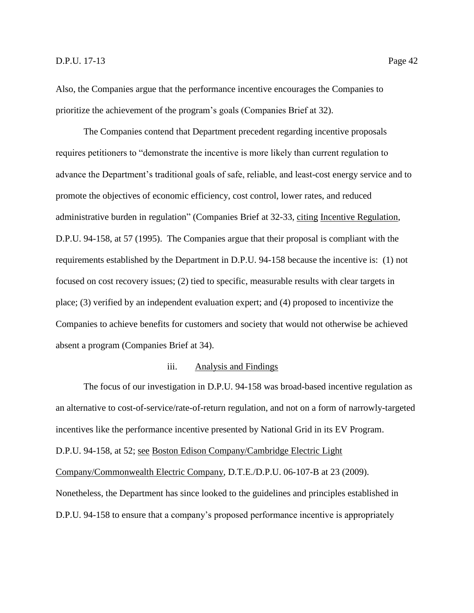Also, the Companies argue that the performance incentive encourages the Companies to prioritize the achievement of the program's goals (Companies Brief at 32).

The Companies contend that Department precedent regarding incentive proposals requires petitioners to "demonstrate the incentive is more likely than current regulation to advance the Department's traditional goals of safe, reliable, and least-cost energy service and to promote the objectives of economic efficiency, cost control, lower rates, and reduced administrative burden in regulation" (Companies Brief at 32-33, citing Incentive Regulation, D.P.U. 94-158, at 57 (1995). The Companies argue that their proposal is compliant with the requirements established by the Department in D.P.U. 94-158 because the incentive is: (1) not focused on cost recovery issues; (2) tied to specific, measurable results with clear targets in place; (3) verified by an independent evaluation expert; and (4) proposed to incentivize the Companies to achieve benefits for customers and society that would not otherwise be achieved absent a program (Companies Brief at 34).

## iii. Analysis and Findings

The focus of our investigation in D.P.U. 94-158 was broad-based incentive regulation as an alternative to cost-of-service/rate-of-return regulation, and not on a form of narrowly-targeted incentives like the performance incentive presented by National Grid in its EV Program. D.P.U. 94-158, at 52; see Boston Edison Company/Cambridge Electric Light Company/Commonwealth Electric Company, D.T.E./D.P.U. 06-107-B at 23 (2009). Nonetheless, the Department has since looked to the guidelines and principles established in D.P.U. 94-158 to ensure that a company's proposed performance incentive is appropriately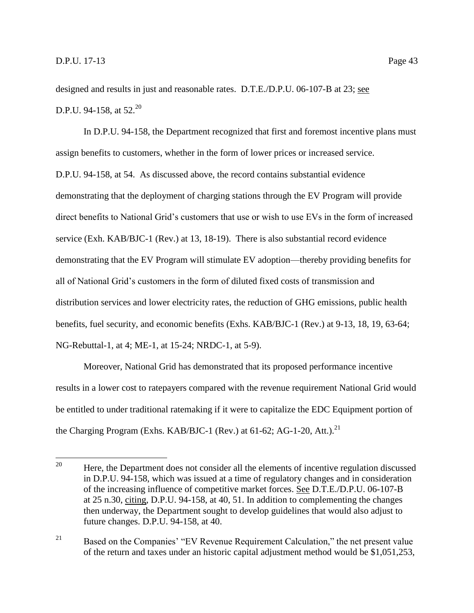designed and results in just and reasonable rates. D.T.E./D.P.U. 06-107-B at 23; see D.P.U. 94-158, at  $52.^{20}$ 

In D.P.U. 94-158, the Department recognized that first and foremost incentive plans must assign benefits to customers, whether in the form of lower prices or increased service. D.P.U. 94-158, at 54. As discussed above, the record contains substantial evidence demonstrating that the deployment of charging stations through the EV Program will provide direct benefits to National Grid's customers that use or wish to use EVs in the form of increased service (Exh. KAB/BJC-1 (Rev.) at 13, 18-19). There is also substantial record evidence demonstrating that the EV Program will stimulate EV adoption—thereby providing benefits for all of National Grid's customers in the form of diluted fixed costs of transmission and distribution services and lower electricity rates, the reduction of GHG emissions, public health benefits, fuel security, and economic benefits (Exhs. KAB/BJC-1 (Rev.) at 9-13, 18, 19, 63-64; NG-Rebuttal-1, at 4; ME-1, at 15-24; NRDC-1, at 5-9).

Moreover, National Grid has demonstrated that its proposed performance incentive results in a lower cost to ratepayers compared with the revenue requirement National Grid would be entitled to under traditional ratemaking if it were to capitalize the EDC Equipment portion of the Charging Program (Exhs. KAB/BJC-1 (Rev.) at 61-62; AG-1-20, Att.).<sup>21</sup>

<sup>20</sup> Here, the Department does not consider all the elements of incentive regulation discussed in D.P.U. 94-158, which was issued at a time of regulatory changes and in consideration of the increasing influence of competitive market forces. See D.T.E./D.P.U. 06-107-B at 25 n.30, citing, D.P.U. 94-158, at 40, 51. In addition to complementing the changes then underway, the Department sought to develop guidelines that would also adjust to future changes. D.P.U. 94-158, at 40.

<sup>&</sup>lt;sup>21</sup> Based on the Companies' "EV Revenue Requirement Calculation," the net present value of the return and taxes under an historic capital adjustment method would be \$1,051,253,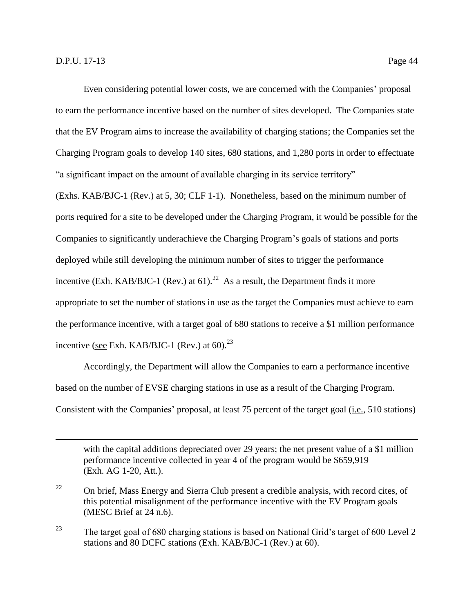$\overline{a}$ 

Even considering potential lower costs, we are concerned with the Companies' proposal to earn the performance incentive based on the number of sites developed. The Companies state that the EV Program aims to increase the availability of charging stations; the Companies set the Charging Program goals to develop 140 sites, 680 stations, and 1,280 ports in order to effectuate "a significant impact on the amount of available charging in its service territory"

(Exhs. KAB/BJC-1 (Rev.) at 5, 30; CLF 1-1). Nonetheless, based on the minimum number of ports required for a site to be developed under the Charging Program, it would be possible for the Companies to significantly underachieve the Charging Program's goals of stations and ports deployed while still developing the minimum number of sites to trigger the performance incentive (Exh. KAB/BJC-1 (Rev.) at  $61$ ).<sup>22</sup> As a result, the Department finds it more appropriate to set the number of stations in use as the target the Companies must achieve to earn the performance incentive, with a target goal of 680 stations to receive a \$1 million performance incentive (see Exh. KAB/BJC-1 (Rev.) at 60). $^{23}$ 

Accordingly, the Department will allow the Companies to earn a performance incentive based on the number of EVSE charging stations in use as a result of the Charging Program. Consistent with the Companies' proposal, at least 75 percent of the target goal (i.e., 510 stations)

with the capital additions depreciated over 29 years; the net present value of a \$1 million performance incentive collected in year 4 of the program would be \$659,919 (Exh. AG 1-20, Att.).

<sup>23</sup> The target goal of 680 charging stations is based on National Grid's target of 600 Level 2 stations and 80 DCFC stations (Exh. KAB/BJC-1 (Rev.) at 60).

 $22$  On brief, Mass Energy and Sierra Club present a credible analysis, with record cites, of this potential misalignment of the performance incentive with the EV Program goals (MESC Brief at 24 n.6).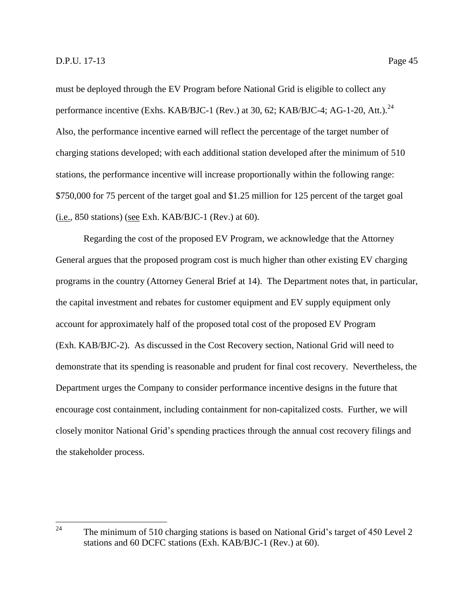must be deployed through the EV Program before National Grid is eligible to collect any performance incentive (Exhs. KAB/BJC-1 (Rev.) at 30, 62; KAB/BJC-4; AG-1-20, Att.).<sup>24</sup> Also, the performance incentive earned will reflect the percentage of the target number of charging stations developed; with each additional station developed after the minimum of 510 stations, the performance incentive will increase proportionally within the following range: \$750,000 for 75 percent of the target goal and \$1.25 million for 125 percent of the target goal (i.e., 850 stations) (see Exh. KAB/BJC-1 (Rev.) at 60).

Regarding the cost of the proposed EV Program, we acknowledge that the Attorney General argues that the proposed program cost is much higher than other existing EV charging programs in the country (Attorney General Brief at 14). The Department notes that, in particular, the capital investment and rebates for customer equipment and EV supply equipment only account for approximately half of the proposed total cost of the proposed EV Program (Exh. KAB/BJC-2). As discussed in the Cost Recovery section, National Grid will need to demonstrate that its spending is reasonable and prudent for final cost recovery. Nevertheless, the Department urges the Company to consider performance incentive designs in the future that encourage cost containment, including containment for non-capitalized costs. Further, we will closely monitor National Grid's spending practices through the annual cost recovery filings and the stakeholder process.

<sup>24</sup> The minimum of 510 charging stations is based on National Grid's target of 450 Level 2 stations and 60 DCFC stations (Exh. KAB/BJC-1 (Rev.) at 60).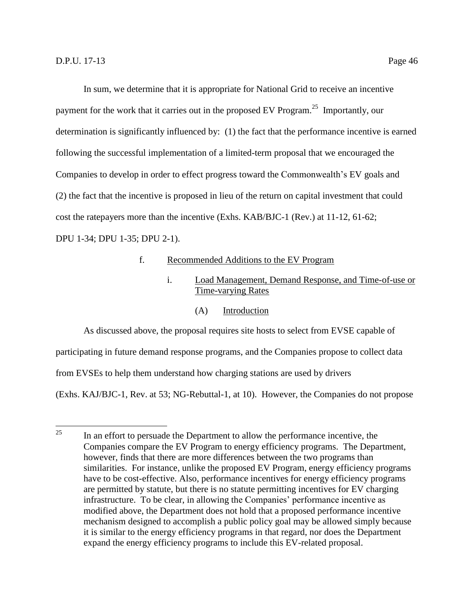In sum, we determine that it is appropriate for National Grid to receive an incentive payment for the work that it carries out in the proposed EV Program.<sup>25</sup> Importantly, our determination is significantly influenced by: (1) the fact that the performance incentive is earned following the successful implementation of a limited-term proposal that we encouraged the Companies to develop in order to effect progress toward the Commonwealth's EV goals and (2) the fact that the incentive is proposed in lieu of the return on capital investment that could cost the ratepayers more than the incentive (Exhs. KAB/BJC-1 (Rev.) at 11-12, 61-62; DPU 1-34; DPU 1-35; DPU 2-1).

## f. Recommended Additions to the EV Program

## i. Load Management, Demand Response, and Time-of-use or Time-varying Rates

(A) Introduction

As discussed above, the proposal requires site hosts to select from EVSE capable of

participating in future demand response programs, and the Companies propose to collect data

from EVSEs to help them understand how charging stations are used by drivers

(Exhs. KAJ/BJC-1, Rev. at 53; NG-Rebuttal-1, at 10). However, the Companies do not propose

<sup>25</sup> <sup>25</sup> In an effort to persuade the Department to allow the performance incentive, the Companies compare the EV Program to energy efficiency programs. The Department, however, finds that there are more differences between the two programs than similarities. For instance, unlike the proposed EV Program, energy efficiency programs have to be cost-effective. Also, performance incentives for energy efficiency programs are permitted by statute, but there is no statute permitting incentives for EV charging infrastructure. To be clear, in allowing the Companies' performance incentive as modified above, the Department does not hold that a proposed performance incentive mechanism designed to accomplish a public policy goal may be allowed simply because it is similar to the energy efficiency programs in that regard, nor does the Department expand the energy efficiency programs to include this EV-related proposal.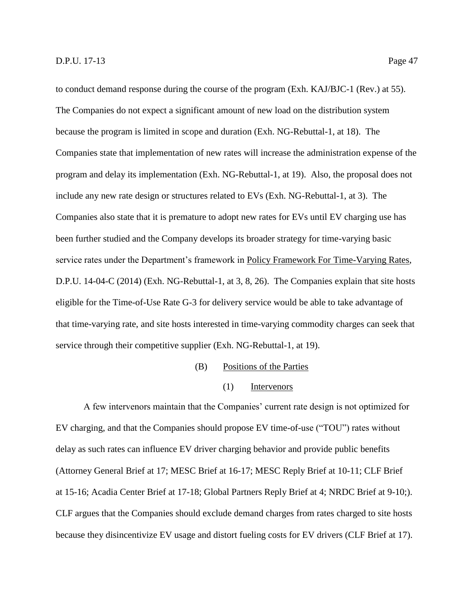to conduct demand response during the course of the program (Exh. KAJ/BJC-1 (Rev.) at 55). The Companies do not expect a significant amount of new load on the distribution system because the program is limited in scope and duration (Exh. NG-Rebuttal-1, at 18). The Companies state that implementation of new rates will increase the administration expense of the program and delay its implementation (Exh. NG-Rebuttal-1, at 19). Also, the proposal does not include any new rate design or structures related to EVs (Exh. NG-Rebuttal-1, at 3). The Companies also state that it is premature to adopt new rates for EVs until EV charging use has been further studied and the Company develops its broader strategy for time-varying basic service rates under the Department's framework in Policy Framework For Time-Varying Rates, D.P.U. 14-04-C (2014) (Exh. NG-Rebuttal-1, at 3, 8, 26). The Companies explain that site hosts eligible for the Time-of-Use Rate G-3 for delivery service would be able to take advantage of that time-varying rate, and site hosts interested in time-varying commodity charges can seek that service through their competitive supplier (Exh. NG-Rebuttal-1, at 19).

- (B) Positions of the Parties
	- (1) Intervenors

A few intervenors maintain that the Companies' current rate design is not optimized for EV charging, and that the Companies should propose EV time-of-use ("TOU") rates without delay as such rates can influence EV driver charging behavior and provide public benefits (Attorney General Brief at 17; MESC Brief at 16-17; MESC Reply Brief at 10-11; CLF Brief at 15-16; Acadia Center Brief at 17-18; Global Partners Reply Brief at 4; NRDC Brief at 9-10;). CLF argues that the Companies should exclude demand charges from rates charged to site hosts because they disincentivize EV usage and distort fueling costs for EV drivers (CLF Brief at 17).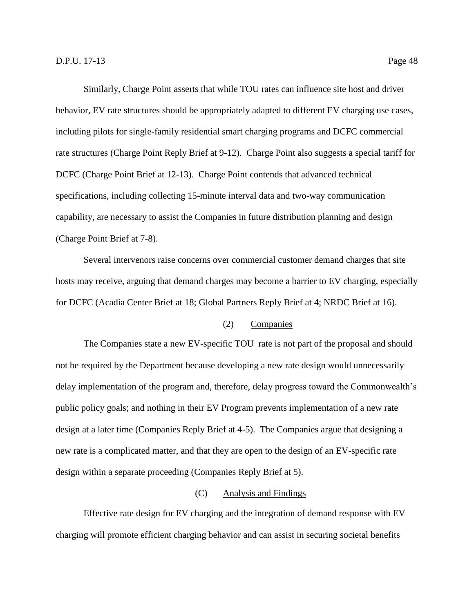Similarly, Charge Point asserts that while TOU rates can influence site host and driver behavior, EV rate structures should be appropriately adapted to different EV charging use cases, including pilots for single-family residential smart charging programs and DCFC commercial rate structures (Charge Point Reply Brief at 9-12). Charge Point also suggests a special tariff for DCFC (Charge Point Brief at 12-13). Charge Point contends that advanced technical specifications, including collecting 15-minute interval data and two-way communication capability, are necessary to assist the Companies in future distribution planning and design (Charge Point Brief at 7-8).

Several intervenors raise concerns over commercial customer demand charges that site hosts may receive, arguing that demand charges may become a barrier to EV charging, especially for DCFC (Acadia Center Brief at 18; Global Partners Reply Brief at 4; NRDC Brief at 16).

## (2) Companies

The Companies state a new EV-specific TOU rate is not part of the proposal and should not be required by the Department because developing a new rate design would unnecessarily delay implementation of the program and, therefore, delay progress toward the Commonwealth's public policy goals; and nothing in their EV Program prevents implementation of a new rate design at a later time (Companies Reply Brief at 4-5). The Companies argue that designing a new rate is a complicated matter, and that they are open to the design of an EV-specific rate design within a separate proceeding (Companies Reply Brief at 5).

## (C) Analysis and Findings

Effective rate design for EV charging and the integration of demand response with EV charging will promote efficient charging behavior and can assist in securing societal benefits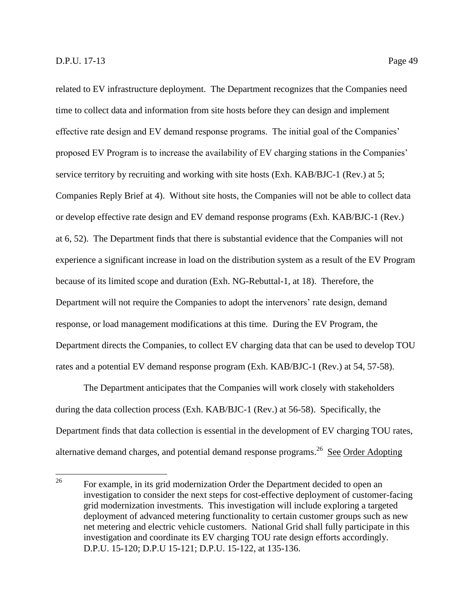related to EV infrastructure deployment. The Department recognizes that the Companies need time to collect data and information from site hosts before they can design and implement effective rate design and EV demand response programs. The initial goal of the Companies' proposed EV Program is to increase the availability of EV charging stations in the Companies' service territory by recruiting and working with site hosts (Exh. KAB/BJC-1 (Rev.) at 5; Companies Reply Brief at 4). Without site hosts, the Companies will not be able to collect data or develop effective rate design and EV demand response programs (Exh. KAB/BJC-1 (Rev.) at 6, 52). The Department finds that there is substantial evidence that the Companies will not experience a significant increase in load on the distribution system as a result of the EV Program because of its limited scope and duration (Exh. NG-Rebuttal-1, at 18). Therefore, the Department will not require the Companies to adopt the intervenors' rate design, demand response, or load management modifications at this time. During the EV Program, the Department directs the Companies, to collect EV charging data that can be used to develop TOU rates and a potential EV demand response program (Exh. KAB/BJC-1 (Rev.) at 54, 57-58).

The Department anticipates that the Companies will work closely with stakeholders during the data collection process (Exh. KAB/BJC-1 (Rev.) at 56-58). Specifically, the Department finds that data collection is essential in the development of EV charging TOU rates, alternative demand charges, and potential demand response programs.<sup>26</sup> See Order Adopting

<sup>26</sup> For example, in its grid modernization Order the Department decided to open an investigation to consider the next steps for cost-effective deployment of customer-facing grid modernization investments. This investigation will include exploring a targeted deployment of advanced metering functionality to certain customer groups such as new net metering and electric vehicle customers. National Grid shall fully participate in this investigation and coordinate its EV charging TOU rate design efforts accordingly. D.P.U. 15-120; D.P.U 15-121; D.P.U. 15-122, at 135-136.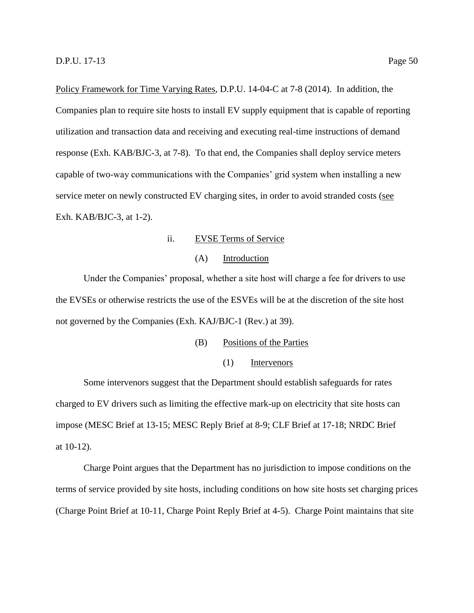Policy Framework for Time Varying Rates, D.P.U. 14-04-C at 7-8 (2014). In addition, the Companies plan to require site hosts to install EV supply equipment that is capable of reporting utilization and transaction data and receiving and executing real-time instructions of demand response (Exh. KAB/BJC-3, at 7-8). To that end, the Companies shall deploy service meters capable of two-way communications with the Companies' grid system when installing a new service meter on newly constructed EV charging sites, in order to avoid stranded costs (see Exh. KAB/BJC-3, at 1-2).

ii. EVSE Terms of Service

## (A) Introduction

Under the Companies' proposal, whether a site host will charge a fee for drivers to use the EVSEs or otherwise restricts the use of the ESVEs will be at the discretion of the site host not governed by the Companies (Exh. KAJ/BJC-1 (Rev.) at 39).

(B) Positions of the Parties

## (1) Intervenors

Some intervenors suggest that the Department should establish safeguards for rates charged to EV drivers such as limiting the effective mark-up on electricity that site hosts can impose (MESC Brief at 13-15; MESC Reply Brief at 8-9; CLF Brief at 17-18; NRDC Brief at 10-12).

Charge Point argues that the Department has no jurisdiction to impose conditions on the terms of service provided by site hosts, including conditions on how site hosts set charging prices (Charge Point Brief at 10-11, Charge Point Reply Brief at 4-5). Charge Point maintains that site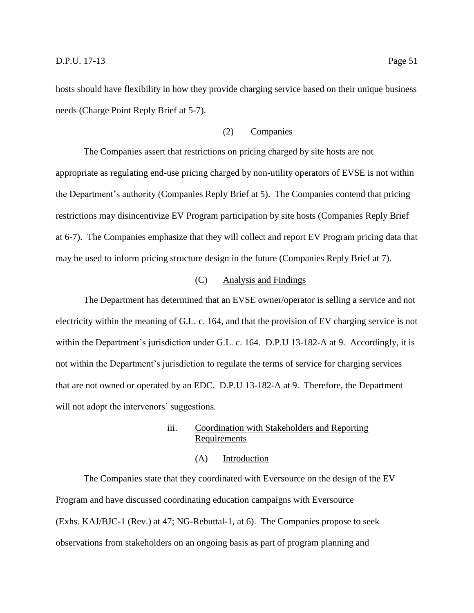hosts should have flexibility in how they provide charging service based on their unique business needs (Charge Point Reply Brief at 5-7).

## (2) Companies

The Companies assert that restrictions on pricing charged by site hosts are not appropriate as regulating end-use pricing charged by non-utility operators of EVSE is not within the Department's authority (Companies Reply Brief at 5). The Companies contend that pricing restrictions may disincentivize EV Program participation by site hosts (Companies Reply Brief at 6-7). The Companies emphasize that they will collect and report EV Program pricing data that may be used to inform pricing structure design in the future (Companies Reply Brief at 7).

#### (C) Analysis and Findings

The Department has determined that an EVSE owner/operator is selling a service and not electricity within the meaning of G.L. c. 164, and that the provision of EV charging service is not within the Department's jurisdiction under G.L. c. 164. D.P.U 13-182-A at 9. Accordingly, it is not within the Department's jurisdiction to regulate the terms of service for charging services that are not owned or operated by an EDC. D.P.U 13-182-A at 9. Therefore, the Department will not adopt the intervenors' suggestions.

## iii. Coordination with Stakeholders and Reporting Requirements

#### (A) Introduction

The Companies state that they coordinated with Eversource on the design of the EV Program and have discussed coordinating education campaigns with Eversource (Exhs. KAJ/BJC-1 (Rev.) at 47; NG-Rebuttal-1, at 6). The Companies propose to seek observations from stakeholders on an ongoing basis as part of program planning and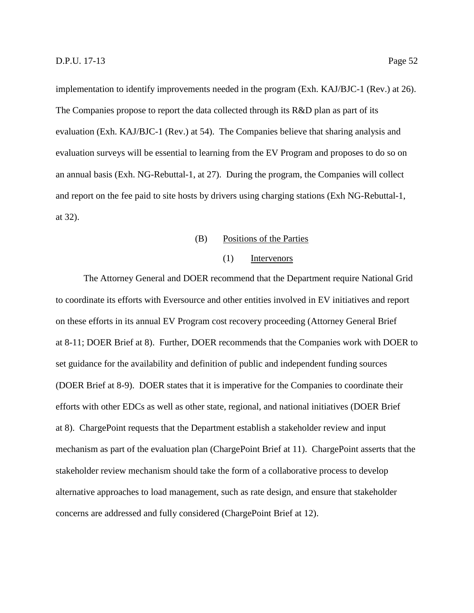implementation to identify improvements needed in the program (Exh. KAJ/BJC-1 (Rev.) at 26). The Companies propose to report the data collected through its R&D plan as part of its evaluation (Exh. KAJ/BJC-1 (Rev.) at 54). The Companies believe that sharing analysis and evaluation surveys will be essential to learning from the EV Program and proposes to do so on an annual basis (Exh. NG-Rebuttal-1, at 27). During the program, the Companies will collect and report on the fee paid to site hosts by drivers using charging stations (Exh NG-Rebuttal-1, at 32).

## (B) Positions of the Parties

#### (1) Intervenors

The Attorney General and DOER recommend that the Department require National Grid to coordinate its efforts with Eversource and other entities involved in EV initiatives and report on these efforts in its annual EV Program cost recovery proceeding (Attorney General Brief at 8-11; DOER Brief at 8). Further, DOER recommends that the Companies work with DOER to set guidance for the availability and definition of public and independent funding sources (DOER Brief at 8-9). DOER states that it is imperative for the Companies to coordinate their efforts with other EDCs as well as other state, regional, and national initiatives (DOER Brief at 8). ChargePoint requests that the Department establish a stakeholder review and input mechanism as part of the evaluation plan (ChargePoint Brief at 11). ChargePoint asserts that the stakeholder review mechanism should take the form of a collaborative process to develop alternative approaches to load management, such as rate design, and ensure that stakeholder concerns are addressed and fully considered (ChargePoint Brief at 12).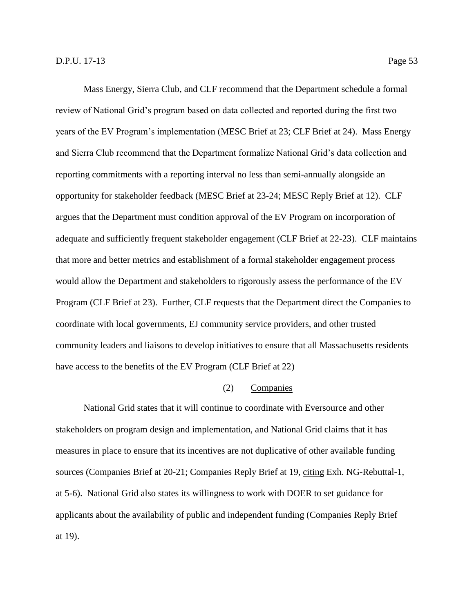Mass Energy, Sierra Club, and CLF recommend that the Department schedule a formal review of National Grid's program based on data collected and reported during the first two years of the EV Program's implementation (MESC Brief at 23; CLF Brief at 24). Mass Energy and Sierra Club recommend that the Department formalize National Grid's data collection and reporting commitments with a reporting interval no less than semi-annually alongside an opportunity for stakeholder feedback (MESC Brief at 23-24; MESC Reply Brief at 12). CLF argues that the Department must condition approval of the EV Program on incorporation of adequate and sufficiently frequent stakeholder engagement (CLF Brief at 22-23). CLF maintains that more and better metrics and establishment of a formal stakeholder engagement process would allow the Department and stakeholders to rigorously assess the performance of the EV Program (CLF Brief at 23). Further, CLF requests that the Department direct the Companies to coordinate with local governments, EJ community service providers, and other trusted community leaders and liaisons to develop initiatives to ensure that all Massachusetts residents have access to the benefits of the EV Program (CLF Brief at 22)

## (2) Companies

National Grid states that it will continue to coordinate with Eversource and other stakeholders on program design and implementation, and National Grid claims that it has measures in place to ensure that its incentives are not duplicative of other available funding sources (Companies Brief at 20-21; Companies Reply Brief at 19, citing Exh. NG-Rebuttal-1, at 5-6). National Grid also states its willingness to work with DOER to set guidance for applicants about the availability of public and independent funding (Companies Reply Brief at 19).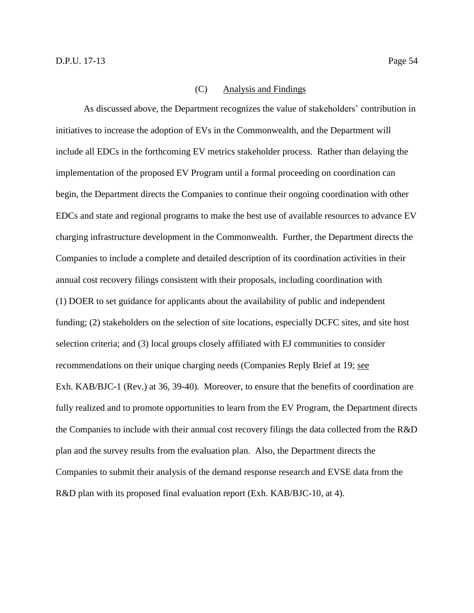#### (C) Analysis and Findings

As discussed above, the Department recognizes the value of stakeholders' contribution in initiatives to increase the adoption of EVs in the Commonwealth, and the Department will include all EDCs in the forthcoming EV metrics stakeholder process. Rather than delaying the implementation of the proposed EV Program until a formal proceeding on coordination can begin, the Department directs the Companies to continue their ongoing coordination with other EDCs and state and regional programs to make the best use of available resources to advance EV charging infrastructure development in the Commonwealth. Further, the Department directs the Companies to include a complete and detailed description of its coordination activities in their annual cost recovery filings consistent with their proposals, including coordination with (1) DOER to set guidance for applicants about the availability of public and independent funding; (2) stakeholders on the selection of site locations, especially DCFC sites, and site host selection criteria; and (3) local groups closely affiliated with EJ communities to consider recommendations on their unique charging needs (Companies Reply Brief at 19; see Exh. KAB/BJC-1 (Rev.) at 36, 39-40). Moreover, to ensure that the benefits of coordination are fully realized and to promote opportunities to learn from the EV Program, the Department directs the Companies to include with their annual cost recovery filings the data collected from the R&D plan and the survey results from the evaluation plan. Also, the Department directs the Companies to submit their analysis of the demand response research and EVSE data from the R&D plan with its proposed final evaluation report (Exh. KAB/BJC-10, at 4).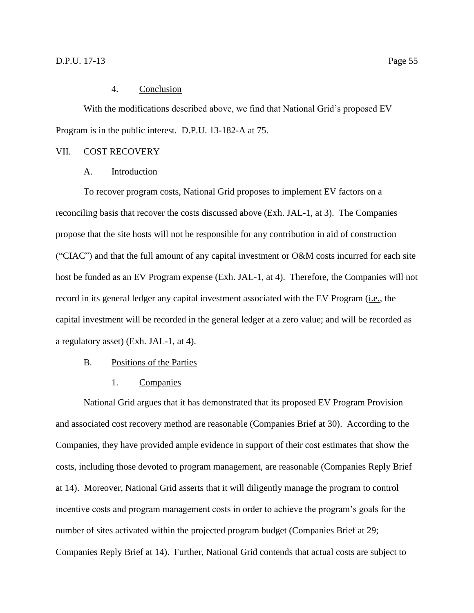#### 4. Conclusion

<span id="page-58-0"></span>With the modifications described above, we find that National Grid's proposed EV Program is in the public interest. D.P.U. 13-182-A at 75.

#### <span id="page-58-2"></span><span id="page-58-1"></span>VII. COST RECOVERY

#### A. Introduction

To recover program costs, National Grid proposes to implement EV factors on a reconciling basis that recover the costs discussed above (Exh. JAL-1, at 3). The Companies propose that the site hosts will not be responsible for any contribution in aid of construction ("CIAC") and that the full amount of any capital investment or O&M costs incurred for each site host be funded as an EV Program expense (Exh. JAL-1, at 4). Therefore, the Companies will not record in its general ledger any capital investment associated with the EV Program (i.e., the capital investment will be recorded in the general ledger at a zero value; and will be recorded as a regulatory asset) (Exh. JAL-1, at 4).

## <span id="page-58-3"></span>B. Positions of the Parties

1. Companies

<span id="page-58-4"></span>National Grid argues that it has demonstrated that its proposed EV Program Provision and associated cost recovery method are reasonable (Companies Brief at 30). According to the Companies, they have provided ample evidence in support of their cost estimates that show the costs, including those devoted to program management, are reasonable (Companies Reply Brief at 14). Moreover, National Grid asserts that it will diligently manage the program to control incentive costs and program management costs in order to achieve the program's goals for the number of sites activated within the projected program budget (Companies Brief at 29; Companies Reply Brief at 14). Further, National Grid contends that actual costs are subject to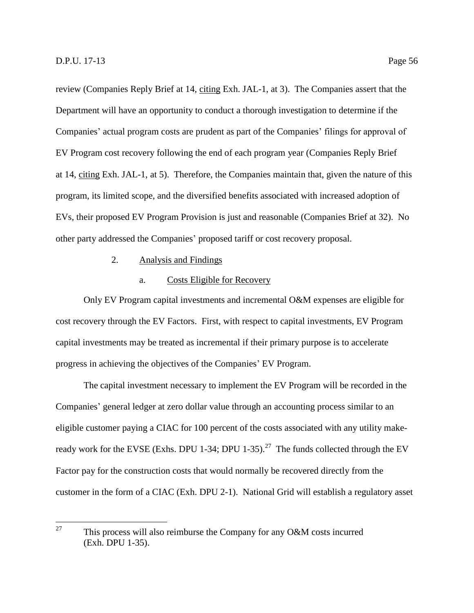review (Companies Reply Brief at 14, citing Exh. JAL-1, at 3). The Companies assert that the Department will have an opportunity to conduct a thorough investigation to determine if the Companies' actual program costs are prudent as part of the Companies' filings for approval of EV Program cost recovery following the end of each program year (Companies Reply Brief at 14, citing Exh. JAL-1, at 5). Therefore, the Companies maintain that, given the nature of this program, its limited scope, and the diversified benefits associated with increased adoption of EVs, their proposed EV Program Provision is just and reasonable (Companies Brief at 32). No other party addressed the Companies' proposed tariff or cost recovery proposal.

## 2. Analysis and Findings

#### a. Costs Eligible for Recovery

<span id="page-59-0"></span>Only EV Program capital investments and incremental O&M expenses are eligible for cost recovery through the EV Factors. First, with respect to capital investments, EV Program capital investments may be treated as incremental if their primary purpose is to accelerate progress in achieving the objectives of the Companies' EV Program.

The capital investment necessary to implement the EV Program will be recorded in the Companies' general ledger at zero dollar value through an accounting process similar to an eligible customer paying a CIAC for 100 percent of the costs associated with any utility makeready work for the EVSE (Exhs. DPU 1-34; DPU 1-35).<sup>27</sup> The funds collected through the EV Factor pay for the construction costs that would normally be recovered directly from the customer in the form of a CIAC (Exh. DPU 2-1). National Grid will establish a regulatory asset

<sup>27</sup> This process will also reimburse the Company for any O&M costs incurred (Exh. DPU 1-35).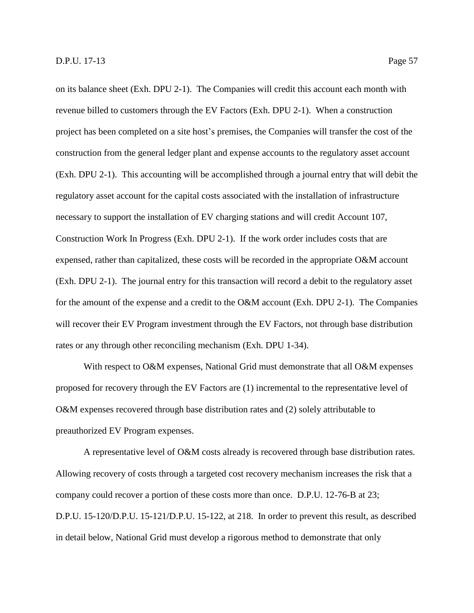on its balance sheet (Exh. DPU 2-1). The Companies will credit this account each month with revenue billed to customers through the EV Factors (Exh. DPU 2-1). When a construction project has been completed on a site host's premises, the Companies will transfer the cost of the construction from the general ledger plant and expense accounts to the regulatory asset account (Exh. DPU 2-1). This accounting will be accomplished through a journal entry that will debit the regulatory asset account for the capital costs associated with the installation of infrastructure necessary to support the installation of EV charging stations and will credit Account 107, Construction Work In Progress (Exh. DPU 2-1). If the work order includes costs that are expensed, rather than capitalized, these costs will be recorded in the appropriate O&M account (Exh. DPU 2-1). The journal entry for this transaction will record a debit to the regulatory asset for the amount of the expense and a credit to the O&M account (Exh. DPU 2-1). The Companies will recover their EV Program investment through the EV Factors, not through base distribution rates or any through other reconciling mechanism (Exh. DPU 1-34).

With respect to O&M expenses, National Grid must demonstrate that all O&M expenses proposed for recovery through the EV Factors are (1) incremental to the representative level of O&M expenses recovered through base distribution rates and (2) solely attributable to preauthorized EV Program expenses.

A representative level of O&M costs already is recovered through base distribution rates. Allowing recovery of costs through a targeted cost recovery mechanism increases the risk that a company could recover a portion of these costs more than once. D.P.U. 12-76-B at 23; D.P.U. 15-120/D.P.U. 15-121/D.P.U. 15-122, at 218. In order to prevent this result, as described in detail below, National Grid must develop a rigorous method to demonstrate that only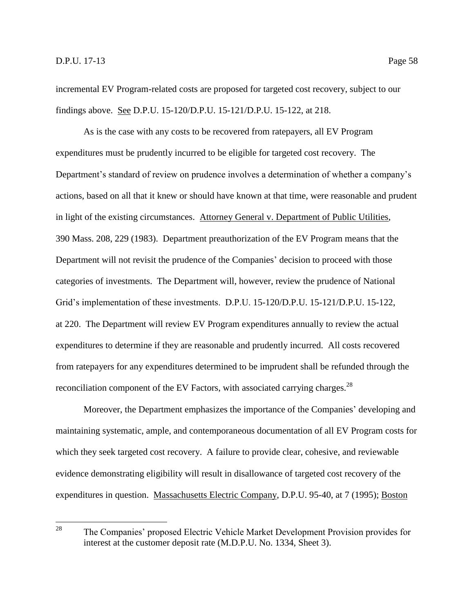incremental EV Program-related costs are proposed for targeted cost recovery, subject to our findings above. See D.P.U. 15-120/D.P.U. 15-121/D.P.U. 15-122, at 218.

As is the case with any costs to be recovered from ratepayers, all EV Program expenditures must be prudently incurred to be eligible for targeted cost recovery. The Department's standard of review on prudence involves a determination of whether a company's actions, based on all that it knew or should have known at that time, were reasonable and prudent in light of the existing circumstances. Attorney General v. Department of Public Utilities, 390 Mass. 208, 229 (1983). Department preauthorization of the EV Program means that the Department will not revisit the prudence of the Companies' decision to proceed with those categories of investments. The Department will, however, review the prudence of National Grid's implementation of these investments. D.P.U. 15-120/D.P.U. 15-121/D.P.U. 15-122, at 220. The Department will review EV Program expenditures annually to review the actual expenditures to determine if they are reasonable and prudently incurred. All costs recovered from ratepayers for any expenditures determined to be imprudent shall be refunded through the reconciliation component of the EV Factors, with associated carrying charges.<sup>28</sup>

Moreover, the Department emphasizes the importance of the Companies' developing and maintaining systematic, ample, and contemporaneous documentation of all EV Program costs for which they seek targeted cost recovery. A failure to provide clear, cohesive, and reviewable evidence demonstrating eligibility will result in disallowance of targeted cost recovery of the expenditures in question. Massachusetts Electric Company, D.P.U. 95-40, at 7 (1995); Boston

<sup>28</sup> The Companies' proposed Electric Vehicle Market Development Provision provides for interest at the customer deposit rate (M.D.P.U. No. 1334, Sheet 3).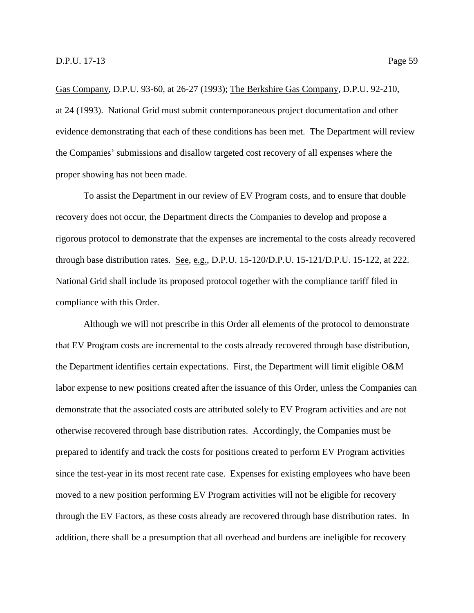Gas Company, D.P.U. 93-60, at 26-27 (1993); The Berkshire Gas Company, D.P.U. 92-210, at 24 (1993). National Grid must submit contemporaneous project documentation and other evidence demonstrating that each of these conditions has been met. The Department will review the Companies' submissions and disallow targeted cost recovery of all expenses where the proper showing has not been made.

To assist the Department in our review of EV Program costs, and to ensure that double recovery does not occur, the Department directs the Companies to develop and propose a rigorous protocol to demonstrate that the expenses are incremental to the costs already recovered through base distribution rates. See, e.g., D.P.U. 15-120/D.P.U. 15-121/D.P.U. 15-122, at 222. National Grid shall include its proposed protocol together with the compliance tariff filed in compliance with this Order.

Although we will not prescribe in this Order all elements of the protocol to demonstrate that EV Program costs are incremental to the costs already recovered through base distribution, the Department identifies certain expectations. First, the Department will limit eligible O&M labor expense to new positions created after the issuance of this Order, unless the Companies can demonstrate that the associated costs are attributed solely to EV Program activities and are not otherwise recovered through base distribution rates. Accordingly, the Companies must be prepared to identify and track the costs for positions created to perform EV Program activities since the test-year in its most recent rate case. Expenses for existing employees who have been moved to a new position performing EV Program activities will not be eligible for recovery through the EV Factors, as these costs already are recovered through base distribution rates. In addition, there shall be a presumption that all overhead and burdens are ineligible for recovery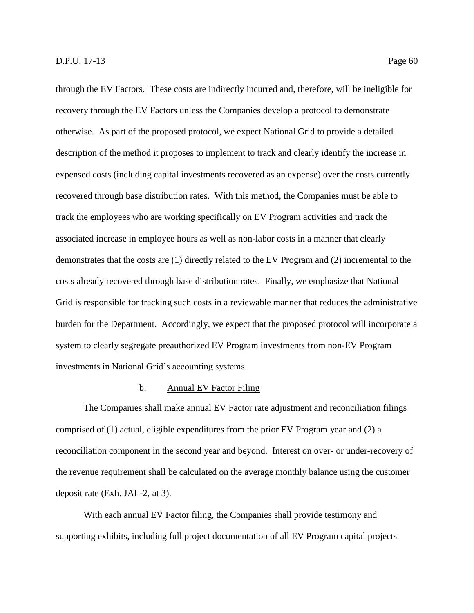through the EV Factors. These costs are indirectly incurred and, therefore, will be ineligible for recovery through the EV Factors unless the Companies develop a protocol to demonstrate otherwise. As part of the proposed protocol, we expect National Grid to provide a detailed description of the method it proposes to implement to track and clearly identify the increase in expensed costs (including capital investments recovered as an expense) over the costs currently recovered through base distribution rates. With this method, the Companies must be able to track the employees who are working specifically on EV Program activities and track the associated increase in employee hours as well as non-labor costs in a manner that clearly demonstrates that the costs are (1) directly related to the EV Program and (2) incremental to the costs already recovered through base distribution rates. Finally, we emphasize that National Grid is responsible for tracking such costs in a reviewable manner that reduces the administrative burden for the Department. Accordingly, we expect that the proposed protocol will incorporate a system to clearly segregate preauthorized EV Program investments from non-EV Program investments in National Grid's accounting systems.

## b. Annual EV Factor Filing

The Companies shall make annual EV Factor rate adjustment and reconciliation filings comprised of (1) actual, eligible expenditures from the prior EV Program year and (2) a reconciliation component in the second year and beyond. Interest on over- or under-recovery of the revenue requirement shall be calculated on the average monthly balance using the customer deposit rate (Exh. JAL-2, at 3).

With each annual EV Factor filing, the Companies shall provide testimony and supporting exhibits, including full project documentation of all EV Program capital projects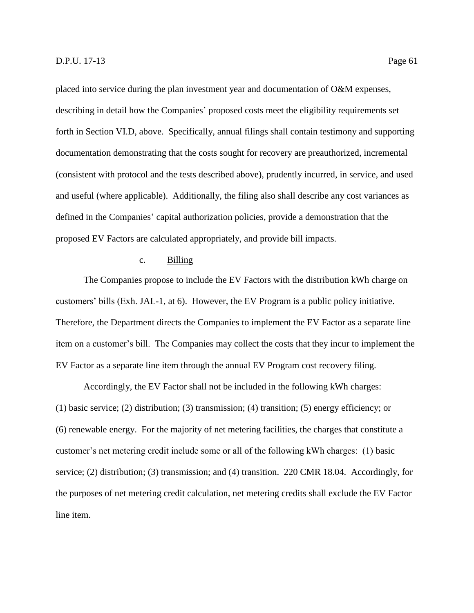placed into service during the plan investment year and documentation of O&M expenses, describing in detail how the Companies' proposed costs meet the eligibility requirements set forth in Section VI.D, above. Specifically, annual filings shall contain testimony and supporting documentation demonstrating that the costs sought for recovery are preauthorized, incremental (consistent with protocol and the tests described above), prudently incurred, in service, and used and useful (where applicable). Additionally, the filing also shall describe any cost variances as defined in the Companies' capital authorization policies, provide a demonstration that the proposed EV Factors are calculated appropriately, and provide bill impacts.

## c. Billing

The Companies propose to include the EV Factors with the distribution kWh charge on customers' bills (Exh. JAL-1, at 6). However, the EV Program is a public policy initiative. Therefore, the Department directs the Companies to implement the EV Factor as a separate line item on a customer's bill. The Companies may collect the costs that they incur to implement the EV Factor as a separate line item through the annual EV Program cost recovery filing.

Accordingly, the EV Factor shall not be included in the following kWh charges: (1) basic service; (2) distribution; (3) transmission; (4) transition; (5) energy efficiency; or (6) renewable energy. For the majority of net metering facilities, the charges that constitute a customer's net metering credit include some or all of the following kWh charges: (1) basic service; (2) distribution; (3) transmission; and (4) transition. 220 CMR 18.04. Accordingly, for the purposes of net metering credit calculation, net metering credits shall exclude the EV Factor line item.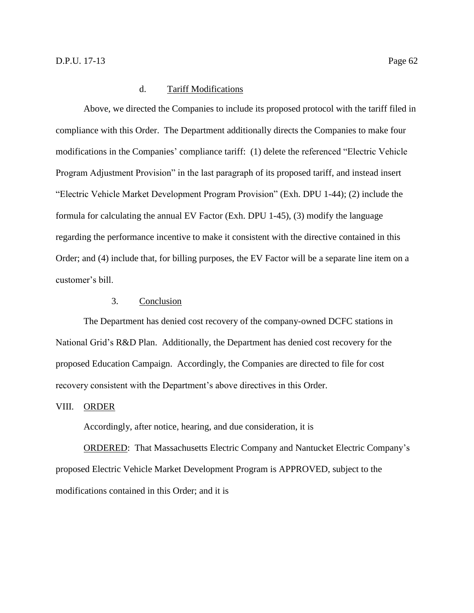## d. Tariff Modifications

Above, we directed the Companies to include its proposed protocol with the tariff filed in compliance with this Order. The Department additionally directs the Companies to make four modifications in the Companies' compliance tariff: (1) delete the referenced "Electric Vehicle Program Adjustment Provision" in the last paragraph of its proposed tariff, and instead insert "Electric Vehicle Market Development Program Provision" (Exh. DPU 1-44); (2) include the formula for calculating the annual EV Factor (Exh. DPU 1-45), (3) modify the language regarding the performance incentive to make it consistent with the directive contained in this Order; and (4) include that, for billing purposes, the EV Factor will be a separate line item on a customer's bill.

## 3. Conclusion

<span id="page-65-0"></span>The Department has denied cost recovery of the company-owned DCFC stations in National Grid's R&D Plan. Additionally, the Department has denied cost recovery for the proposed Education Campaign. Accordingly, the Companies are directed to file for cost recovery consistent with the Department's above directives in this Order.

#### <span id="page-65-1"></span>VIII. ORDER

Accordingly, after notice, hearing, and due consideration, it is

ORDERED: That Massachusetts Electric Company and Nantucket Electric Company's proposed Electric Vehicle Market Development Program is APPROVED, subject to the modifications contained in this Order; and it is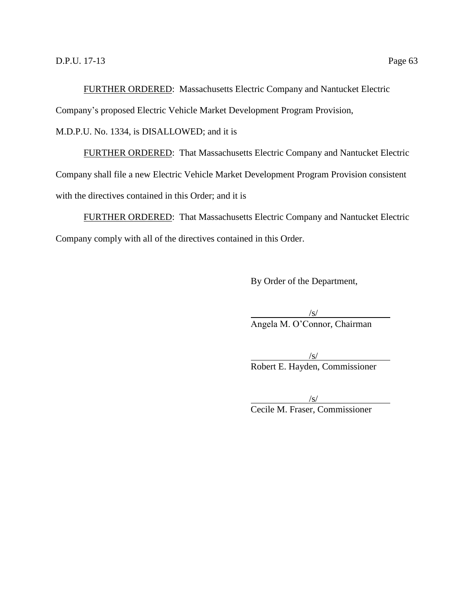FURTHER ORDERED: Massachusetts Electric Company and Nantucket Electric

Company's proposed Electric Vehicle Market Development Program Provision,

M.D.P.U. No. 1334, is DISALLOWED; and it is

FURTHER ORDERED: That Massachusetts Electric Company and Nantucket Electric Company shall file a new Electric Vehicle Market Development Program Provision consistent with the directives contained in this Order; and it is

FURTHER ORDERED: That Massachusetts Electric Company and Nantucket Electric Company comply with all of the directives contained in this Order.

By Order of the Department,

 $\sqrt{s/}$ Angela M. O'Connor, Chairman

 $\sqrt{s/}$ Robert E. Hayden, Commissioner

 $\sqrt{s/}$ Cecile M. Fraser, Commissioner